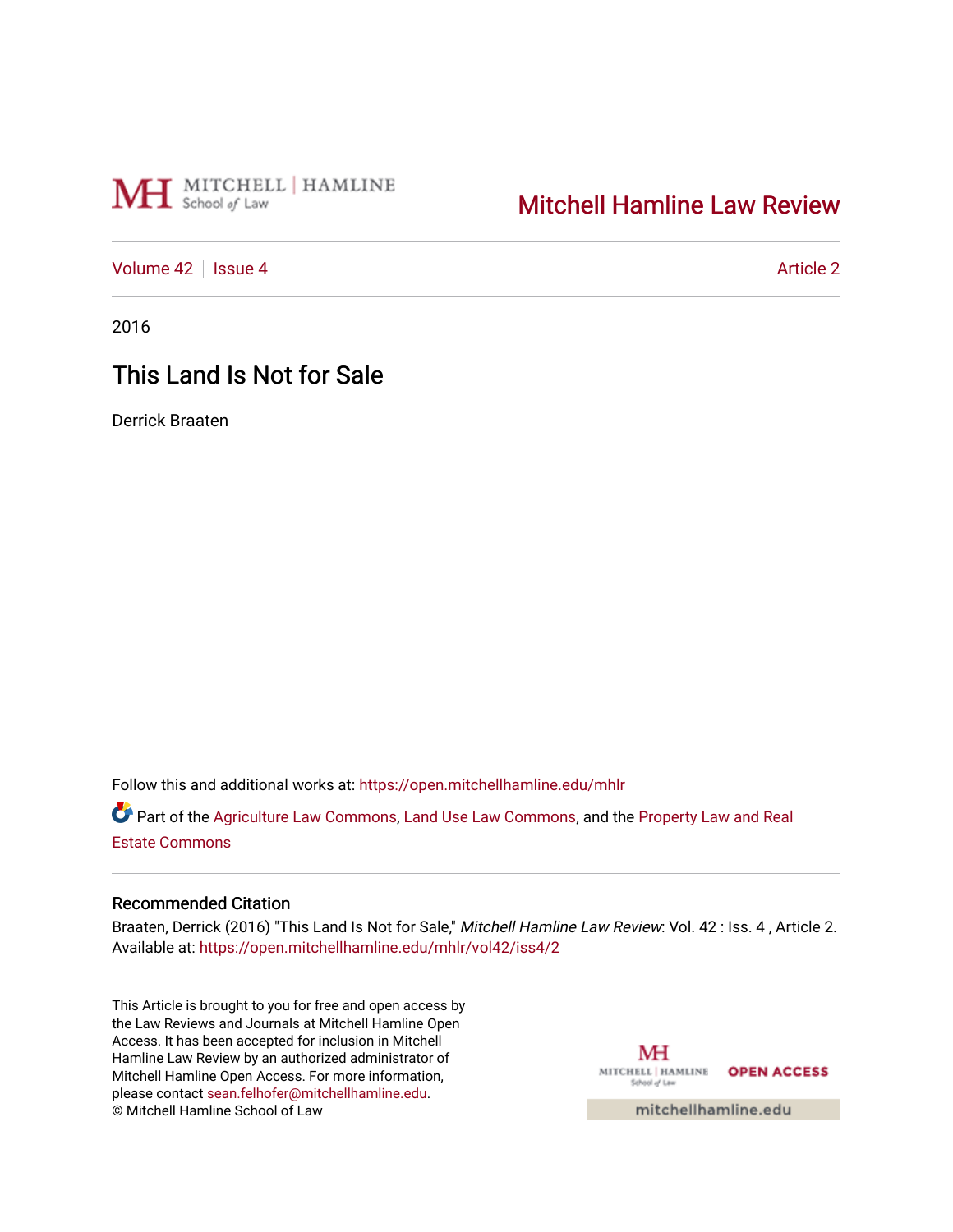# MH School of Law

# [Mitchell Hamline Law Review](https://open.mitchellhamline.edu/mhlr)

[Volume 42](https://open.mitchellhamline.edu/mhlr/vol42) | [Issue 4](https://open.mitchellhamline.edu/mhlr/vol42/iss4) [Article 2](https://open.mitchellhamline.edu/mhlr/vol42/iss4/2) | Article 2 Article 2 | Article 2 | Article 2 | Article 2 | Article 2 | Article 2

2016

# This Land Is Not for Sale

Derrick Braaten

Follow this and additional works at: [https://open.mitchellhamline.edu/mhlr](https://open.mitchellhamline.edu/mhlr?utm_source=open.mitchellhamline.edu%2Fmhlr%2Fvol42%2Fiss4%2F2&utm_medium=PDF&utm_campaign=PDFCoverPages) 

Part of the [Agriculture Law Commons](http://network.bepress.com/hgg/discipline/581?utm_source=open.mitchellhamline.edu%2Fmhlr%2Fvol42%2Fiss4%2F2&utm_medium=PDF&utm_campaign=PDFCoverPages), [Land Use Law Commons](http://network.bepress.com/hgg/discipline/852?utm_source=open.mitchellhamline.edu%2Fmhlr%2Fvol42%2Fiss4%2F2&utm_medium=PDF&utm_campaign=PDFCoverPages), and the Property Law and Real [Estate Commons](http://network.bepress.com/hgg/discipline/897?utm_source=open.mitchellhamline.edu%2Fmhlr%2Fvol42%2Fiss4%2F2&utm_medium=PDF&utm_campaign=PDFCoverPages) 

# Recommended Citation

Braaten, Derrick (2016) "This Land Is Not for Sale," Mitchell Hamline Law Review: Vol. 42 : Iss. 4, Article 2. Available at: [https://open.mitchellhamline.edu/mhlr/vol42/iss4/2](https://open.mitchellhamline.edu/mhlr/vol42/iss4/2?utm_source=open.mitchellhamline.edu%2Fmhlr%2Fvol42%2Fiss4%2F2&utm_medium=PDF&utm_campaign=PDFCoverPages) 

This Article is brought to you for free and open access by the Law Reviews and Journals at Mitchell Hamline Open Access. It has been accepted for inclusion in Mitchell Hamline Law Review by an authorized administrator of Mitchell Hamline Open Access. For more information, please contact [sean.felhofer@mitchellhamline.edu.](mailto:sean.felhofer@mitchellhamline.edu) © Mitchell Hamline School of Law

MH MITCHELL | HAMLINE OPEN ACCESS School of Lav

mitchellhamline.edu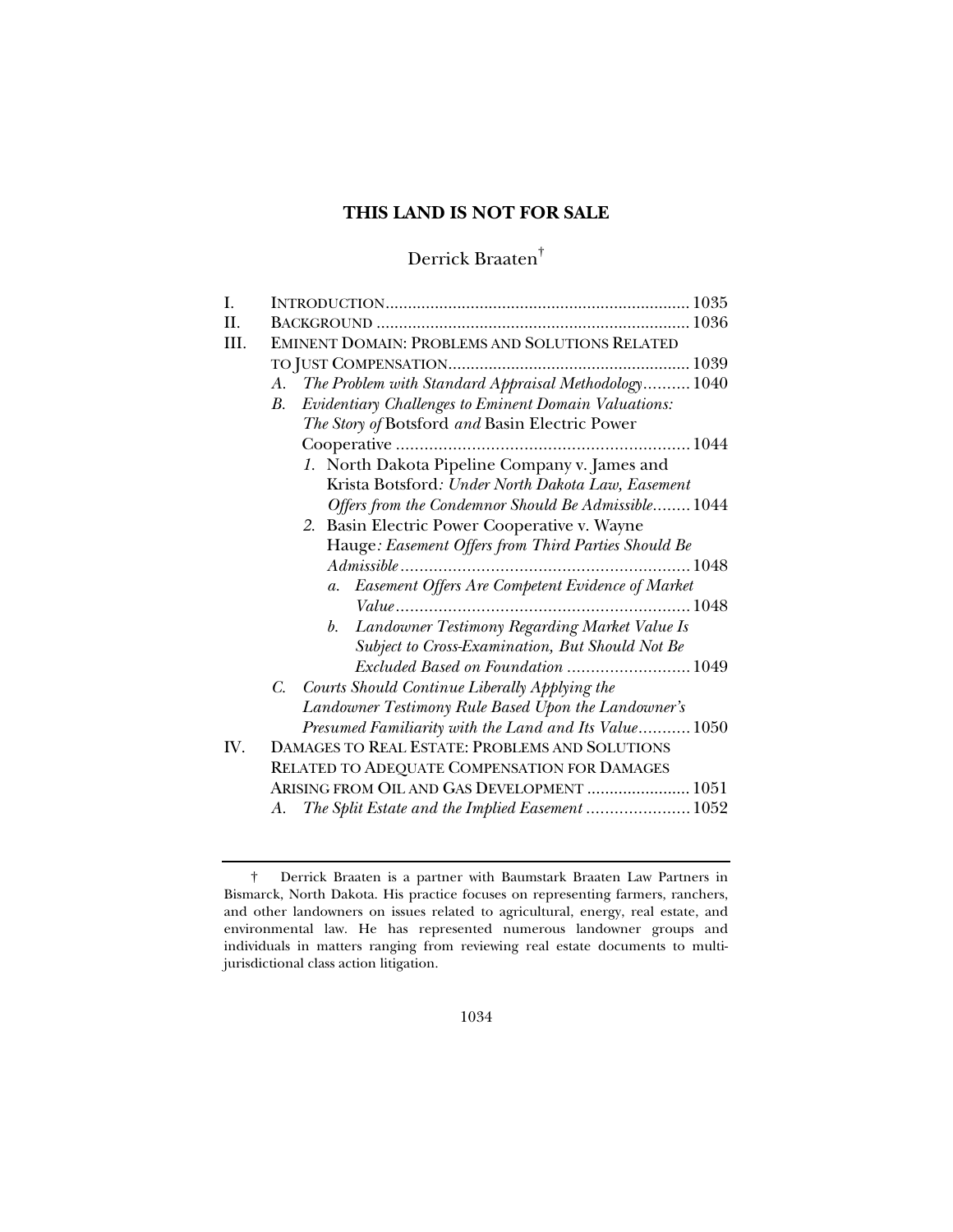# **THIS LAND IS NOT FOR SALE**

# Derrick Braaten†

| L    |                                                            |
|------|------------------------------------------------------------|
| II.  |                                                            |
| III. | <b>EMINENT DOMAIN: PROBLEMS AND SOLUTIONS RELATED</b>      |
|      |                                                            |
|      | A. The Problem with Standard Appraisal Methodology 1040    |
|      | Evidentiary Challenges to Eminent Domain Valuations:<br>B. |
|      | The Story of Botsford and Basin Electric Power             |
|      |                                                            |
|      | 1. North Dakota Pipeline Company v. James and              |
|      | Krista Botsford: Under North Dakota Law, Easement          |
|      | Offers from the Condemnor Should Be Admissible 1044        |
|      | 2. Basin Electric Power Cooperative v. Wayne               |
|      | Hauge: Easement Offers from Third Parties Should Be        |
|      |                                                            |
|      | a. Easement Offers Are Competent Evidence of Market        |
|      |                                                            |
|      | Landowner Testimony Regarding Market Value Is<br>b.        |
|      | Subject to Cross-Examination, But Should Not Be            |
|      | Excluded Based on Foundation  1049                         |
|      | C. Courts Should Continue Liberally Applying the           |
|      | Landowner Testimony Rule Based Upon the Landowner's        |
|      | Presumed Familiarity with the Land and Its Value 1050      |
| IV.  | DAMAGES TO REAL ESTATE: PROBLEMS AND SOLUTIONS             |
|      | RELATED TO ADEQUATE COMPENSATION FOR DAMAGES               |
|      | ARISING FROM OIL AND GAS DEVELOPMENT  1051                 |
|      | A. The Split Estate and the Implied Easement  1052         |

 <sup>†</sup> Derrick Braaten is a partner with Baumstark Braaten Law Partners in Bismarck, North Dakota. His practice focuses on representing farmers, ranchers, and other landowners on issues related to agricultural, energy, real estate, and environmental law. He has represented numerous landowner groups and individuals in matters ranging from reviewing real estate documents to multijurisdictional class action litigation.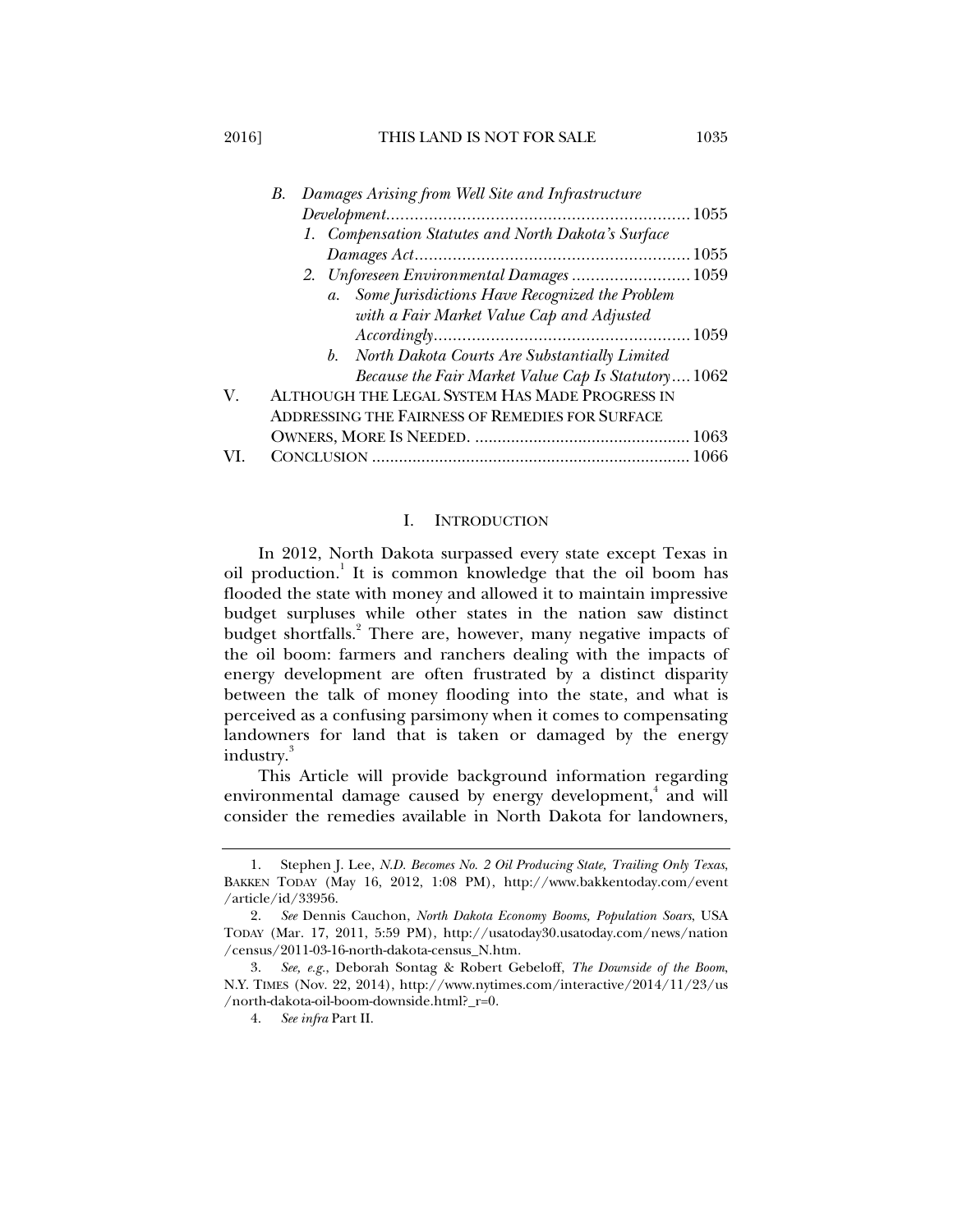2016] THIS LAND IS NOT FOR SALE 1035

|     | Damages Arising from Well Site and Infrastructure<br>$B_{\cdot}$ |
|-----|------------------------------------------------------------------|
|     |                                                                  |
|     | 1. Compensation Statutes and North Dakota's Surface              |
|     |                                                                  |
|     | 2. Unforeseen Environmental Damages  1059                        |
|     | a. Some Jurisdictions Have Recognized the Problem                |
|     | with a Fair Market Value Cap and Adjusted                        |
|     | Accordingly. 1059                                                |
|     | b. North Dakota Courts Are Substantially Limited                 |
|     | Because the Fair Market Value Cap Is Statutory 1062              |
| V.  | ALTHOUGH THE LEGAL SYSTEM HAS MADE PROGRESS IN                   |
|     | ADDRESSING THE FAIRNESS OF REMEDIES FOR SURFACE                  |
|     |                                                                  |
| VI. |                                                                  |

#### I. INTRODUCTION

In 2012, North Dakota surpassed every state except Texas in oil production.<sup>1</sup> It is common knowledge that the oil boom has flooded the state with money and allowed it to maintain impressive budget surpluses while other states in the nation saw distinct budget shortfalls.<sup>2</sup> There are, however, many negative impacts of the oil boom: farmers and ranchers dealing with the impacts of energy development are often frustrated by a distinct disparity between the talk of money flooding into the state, and what is perceived as a confusing parsimony when it comes to compensating landowners for land that is taken or damaged by the energy industry.<sup>3</sup>

This Article will provide background information regarding environmental damage caused by energy development,<sup>4</sup> and will consider the remedies available in North Dakota for landowners,

 <sup>1.</sup> Stephen J. Lee, *N.D. Becomes No. 2 Oil Producing State, Trailing Only Texas*, BAKKEN TODAY (May 16, 2012, 1:08 PM), http://www.bakkentoday.com/event /article/id/33956.

 <sup>2.</sup> *See* Dennis Cauchon, *North Dakota Economy Booms, Population Soars*, USA TODAY (Mar. 17, 2011, 5:59 PM), http://usatoday30.usatoday.com/news/nation /census/2011-03-16-north-dakota-census\_N.htm.

 <sup>3.</sup> *See, e.g.*, Deborah Sontag & Robert Gebeloff, *The Downside of the Boom*, N.Y. TIMES (Nov. 22, 2014), http://www.nytimes.com/interactive/2014/11/23/us /north-dakota-oil-boom-downside.html?\_r=0.

 <sup>4.</sup> *See infra* Part II.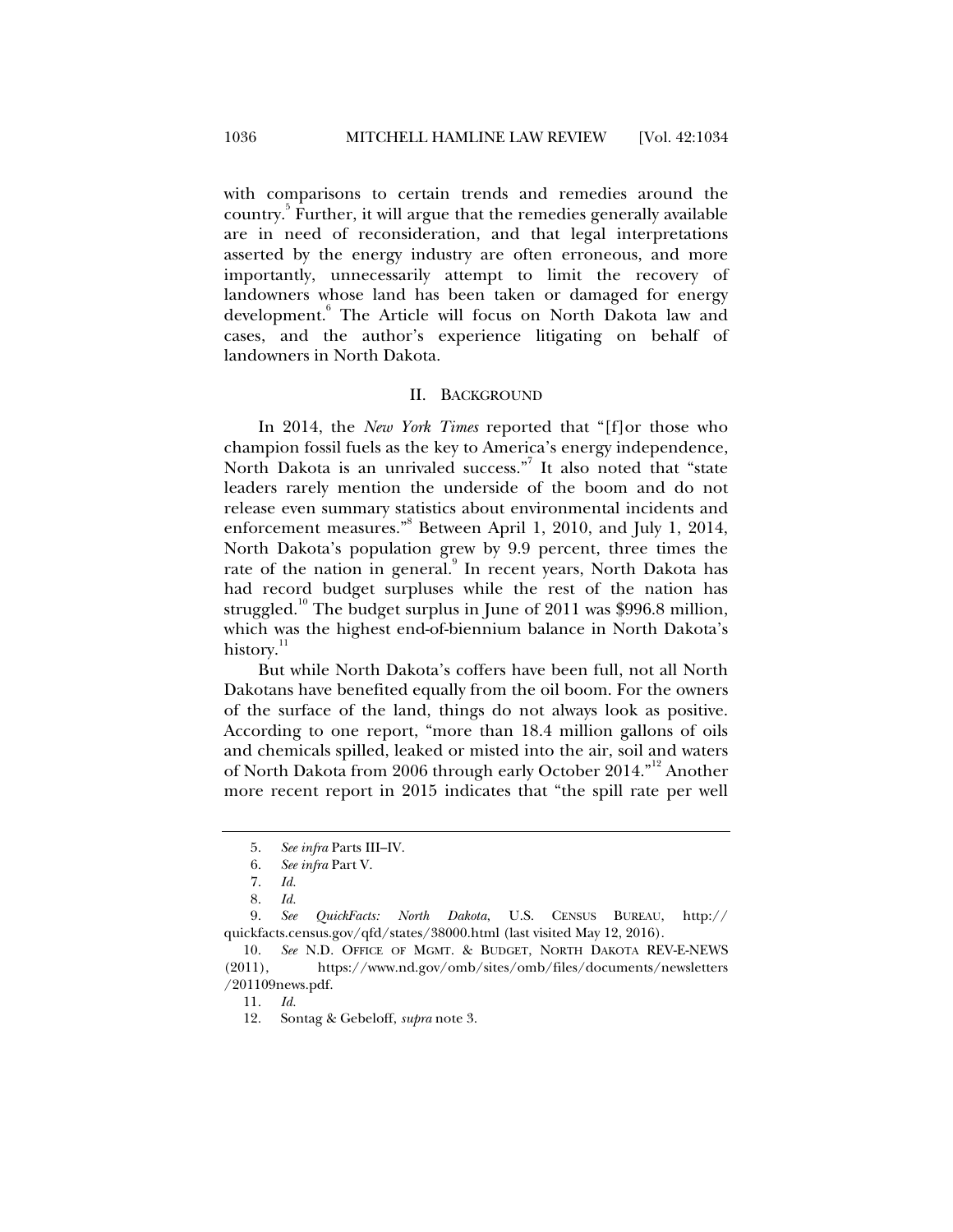with comparisons to certain trends and remedies around the country.<sup>5</sup> Further, it will argue that the remedies generally available are in need of reconsideration, and that legal interpretations asserted by the energy industry are often erroneous, and more importantly, unnecessarily attempt to limit the recovery of landowners whose land has been taken or damaged for energy development.<sup>6</sup> The Article will focus on North Dakota law and cases, and the author's experience litigating on behalf of landowners in North Dakota.

#### II. BACKGROUND

In 2014, the *New York Times* reported that "[f]or those who champion fossil fuels as the key to America's energy independence, North Dakota is an unrivaled success."<sup>7</sup> It also noted that "state leaders rarely mention the underside of the boom and do not release even summary statistics about environmental incidents and enforcement measures."<sup>8</sup> Between April 1, 2010, and July 1, 2014, North Dakota's population grew by 9.9 percent, three times the rate of the nation in general.<sup>9</sup> In recent years, North Dakota has had record budget surpluses while the rest of the nation has struggled.<sup>10</sup> The budget surplus in June of 2011 was \$996.8 million, which was the highest end-of-biennium balance in North Dakota's history.<sup>11</sup>

But while North Dakota's coffers have been full, not all North Dakotans have benefited equally from the oil boom. For the owners of the surface of the land, things do not always look as positive. According to one report, "more than 18.4 million gallons of oils and chemicals spilled, leaked or misted into the air, soil and waters of North Dakota from 2006 through early October 2014."<sup>12</sup> Another more recent report in 2015 indicates that "the spill rate per well

 9. *See QuickFacts: North Dakota*, U.S. CENSUS BUREAU, http:// quickfacts.census.gov/qfd/states/38000.html (last visited May 12, 2016).

 10. *See* N.D. OFFICE OF MGMT. & BUDGET, NORTH DAKOTA REV-E-NEWS (2011), https://www.nd.gov/omb/sites/omb/files/documents/newsletters /201109news.pdf.

11. *Id.*

 <sup>5.</sup> *See infra* Parts III–IV.

 <sup>6.</sup> *See infra* Part V.

 <sup>7.</sup> *Id.* 

 <sup>8.</sup> *Id.*

 <sup>12.</sup> Sontag & Gebeloff, *supra* note 3.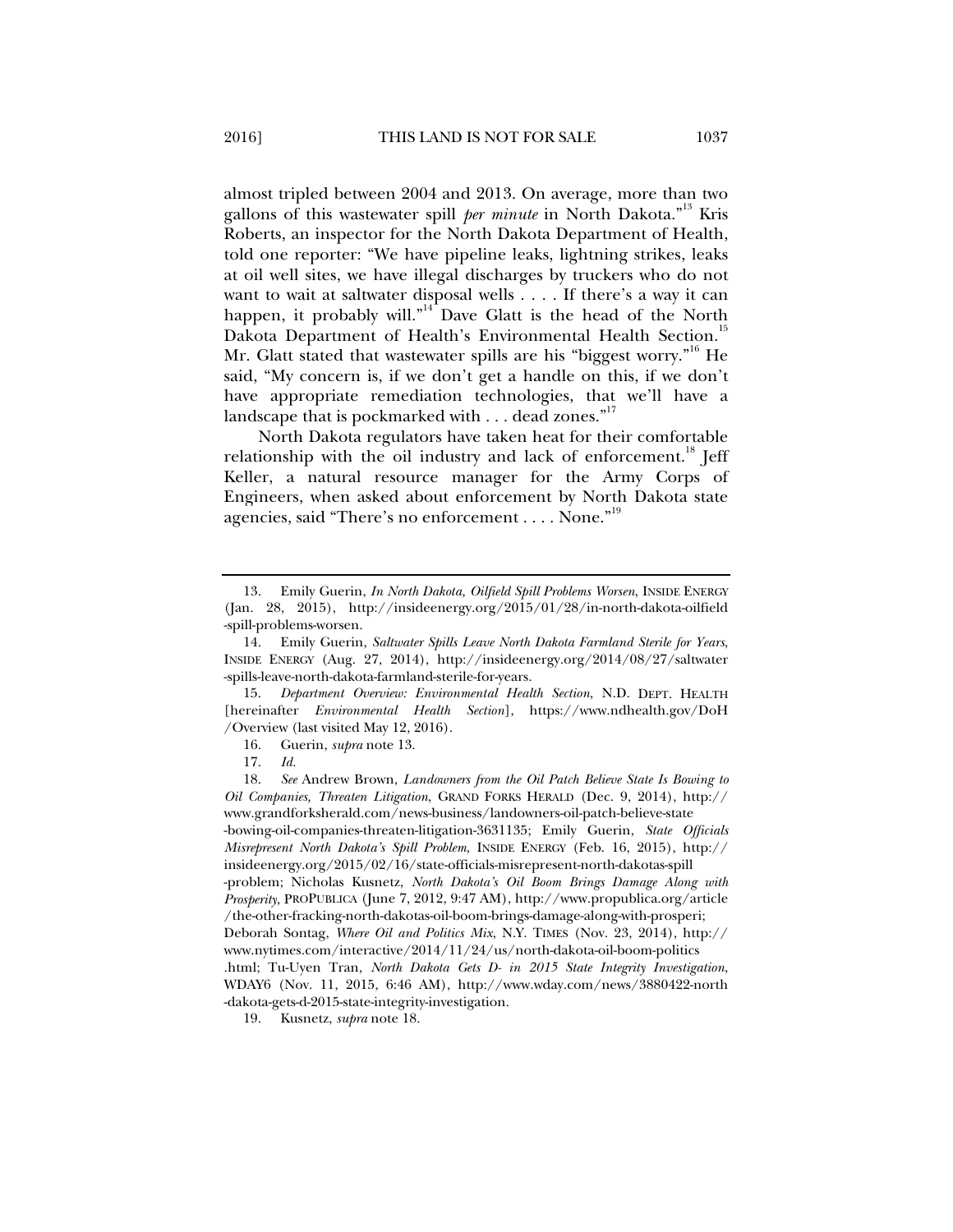almost tripled between 2004 and 2013. On average, more than two gallons of this wastewater spill *per minute* in North Dakota."<sup>13</sup> Kris Roberts, an inspector for the North Dakota Department of Health, told one reporter: "We have pipeline leaks, lightning strikes, leaks at oil well sites, we have illegal discharges by truckers who do not want to wait at saltwater disposal wells . . . . If there's a way it can happen, it probably will."<sup>14</sup> Dave Glatt is the head of the North Dakota Department of Health's Environmental Health Section.<sup>15</sup> Mr. Glatt stated that wastewater spills are his "biggest worry."<sup>16</sup> He said, "My concern is, if we don't get a handle on this, if we don't have appropriate remediation technologies, that we'll have a

landscape that is pockmarked with . . . dead zones."<sup>17</sup> North Dakota regulators have taken heat for their comfortable relationship with the oil industry and lack of enforcement.<sup>18</sup> Jeff Keller, a natural resource manager for the Army Corps of Engineers, when asked about enforcement by North Dakota state agencies, said "There's no enforcement . . . . None."<sup>19</sup>

 15. *Department Overview: Environmental Health Section*, N.D. DEPT. HEALTH [hereinafter *Environmental Health Section*], https://www.ndhealth.gov/DoH /Overview (last visited May 12, 2016).

19. Kusnetz, *supra* note 18.

 <sup>13.</sup> Emily Guerin, *In North Dakota, Oilfield Spill Problems Worsen*, INSIDE ENERGY (Jan. 28, 2015), http://insideenergy.org/2015/01/28/in-north-dakota-oilfield -spill-problems-worsen.

 <sup>14.</sup> Emily Guerin, *Saltwater Spills Leave North Dakota Farmland Sterile for Years*, INSIDE ENERGY (Aug. 27, 2014), http://insideenergy.org/2014/08/27/saltwater -spills-leave-north-dakota-farmland-sterile-for-years.

 <sup>16.</sup> Guerin, *supra* note 13.

 <sup>17.</sup> *Id.*

 <sup>18.</sup> *See* Andrew Brown, *Landowners from the Oil Patch Believe State Is Bowing to Oil Companies, Threaten Litigation*, GRAND FORKS HERALD (Dec. 9, 2014), http:// www.grandforksherald.com/news-business/landowners-oil-patch-believe-state -bowing-oil-companies-threaten-litigation-3631135; Emily Guerin, *State Officials Misrepresent North Dakota's Spill Problem*, INSIDE ENERGY (Feb. 16, 2015), http:// insideenergy.org/2015/02/16/state-officials-misrepresent-north-dakotas-spill -problem; Nicholas Kusnetz, *North Dakota's Oil Boom Brings Damage Along with Prosperity*, PROPUBLICA (June 7, 2012, 9:47 AM), http://www.propublica.org/article /the-other-fracking-north-dakotas-oil-boom-brings-damage-along-with-prosperi; Deborah Sontag, *Where Oil and Politics Mix*, N.Y. TIMES (Nov. 23, 2014), http:// www.nytimes.com/interactive/2014/11/24/us/north-dakota-oil-boom-politics .html; Tu-Uyen Tran, *North Dakota Gets D- in 2015 State Integrity Investigation*, WDAY6 (Nov. 11, 2015, 6:46 AM), http://www.wday.com/news/3880422-north -dakota-gets-d-2015-state-integrity-investigation.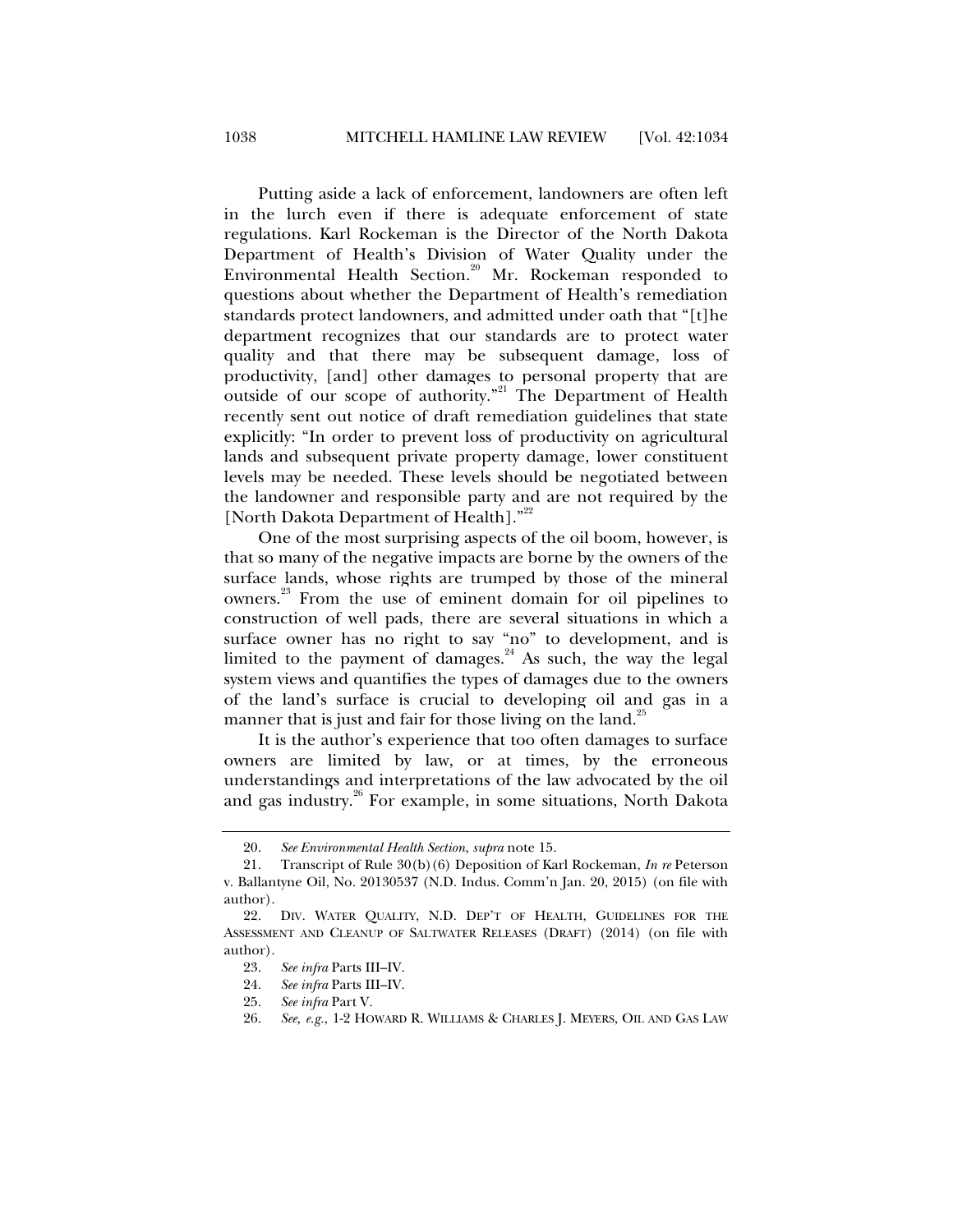Putting aside a lack of enforcement, landowners are often left in the lurch even if there is adequate enforcement of state regulations. Karl Rockeman is the Director of the North Dakota Department of Health's Division of Water Quality under the Environmental Health Section.<sup>20</sup> Mr. Rockeman responded to questions about whether the Department of Health's remediation standards protect landowners, and admitted under oath that "[t]he department recognizes that our standards are to protect water quality and that there may be subsequent damage, loss of productivity, [and] other damages to personal property that are outside of our scope of authority."<sup>21</sup> The Department of Health recently sent out notice of draft remediation guidelines that state explicitly: "In order to prevent loss of productivity on agricultural lands and subsequent private property damage, lower constituent levels may be needed. These levels should be negotiated between the landowner and responsible party and are not required by the [North Dakota Department of Health]."<sup>22</sup>

One of the most surprising aspects of the oil boom, however, is that so many of the negative impacts are borne by the owners of the surface lands, whose rights are trumped by those of the mineral owners.23 From the use of eminent domain for oil pipelines to construction of well pads, there are several situations in which a surface owner has no right to say "no" to development, and is limited to the payment of damages. $^{24}$  As such, the way the legal system views and quantifies the types of damages due to the owners of the land's surface is crucial to developing oil and gas in a manner that is just and fair for those living on the land.<sup>25</sup>

It is the author's experience that too often damages to surface owners are limited by law, or at times, by the erroneous understandings and interpretations of the law advocated by the oil and gas industry.<sup>26</sup> For example, in some situations, North Dakota

 <sup>20.</sup> *See Environmental Health Section*, *supra* note 15.

 <sup>21.</sup> Transcript of Rule 30(b)(6) Deposition of Karl Rockeman, *In re* Peterson v. Ballantyne Oil, No. 20130537 (N.D. Indus. Comm'n Jan. 20, 2015) (on file with author).

 <sup>22.</sup> DIV. WATER QUALITY, N.D. DEP'T OF HEALTH, GUIDELINES FOR THE ASSESSMENT AND CLEANUP OF SALTWATER RELEASES (DRAFT) (2014) (on file with author).

 <sup>23.</sup> *See infra* Parts III–IV.

 <sup>24.</sup> *See infra* Parts III–IV.

 <sup>25.</sup> *See infra* Part V.

 <sup>26.</sup> *See, e.g.*, 1-2 HOWARD R. WILLIAMS & CHARLES J. MEYERS, OIL AND GAS LAW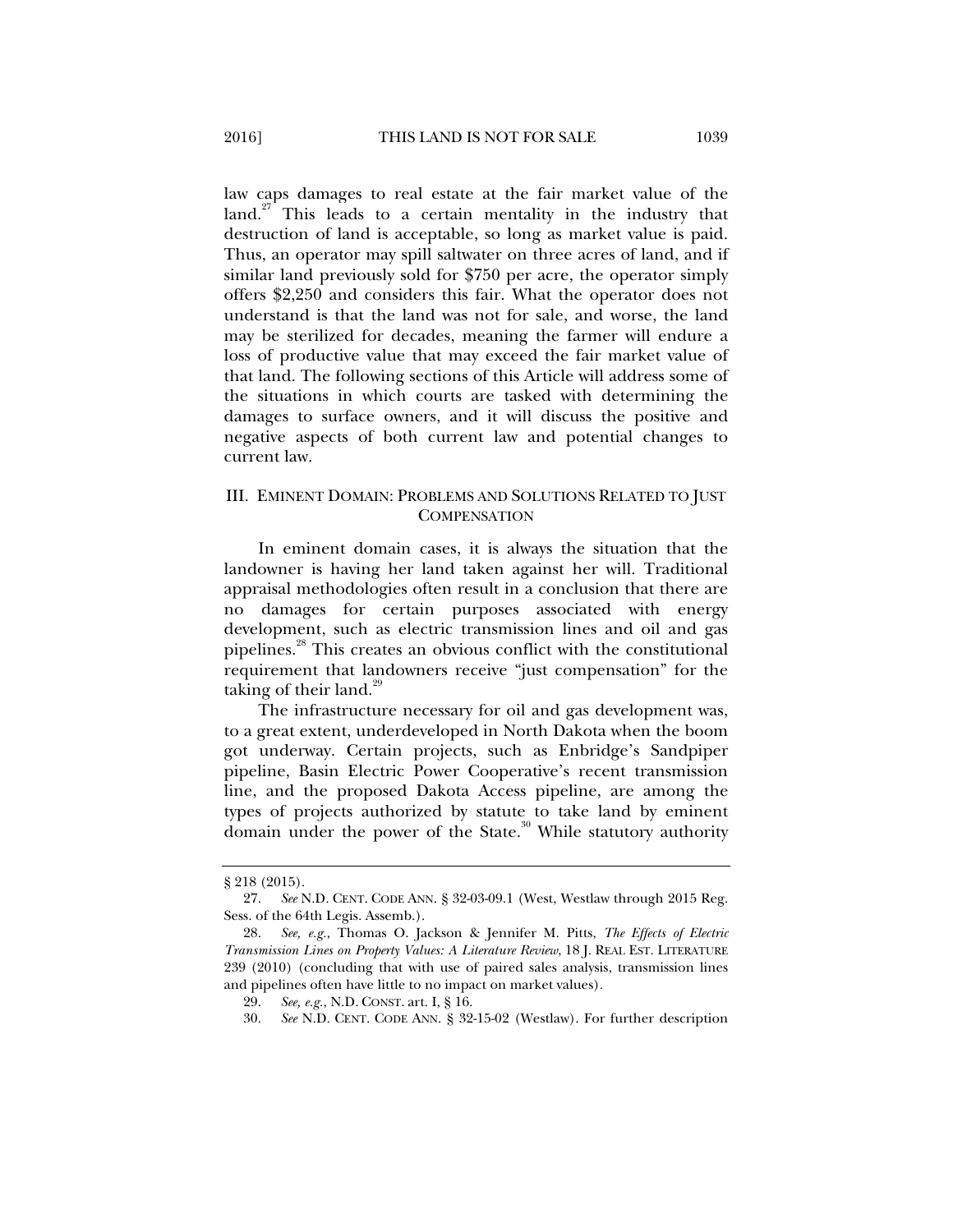law caps damages to real estate at the fair market value of the  $\lambda^{27}$  This leads to a certain mentality in the industry that destruction of land is acceptable, so long as market value is paid. Thus, an operator may spill saltwater on three acres of land, and if similar land previously sold for \$750 per acre, the operator simply offers \$2,250 and considers this fair. What the operator does not understand is that the land was not for sale, and worse, the land may be sterilized for decades, meaning the farmer will endure a loss of productive value that may exceed the fair market value of that land. The following sections of this Article will address some of the situations in which courts are tasked with determining the damages to surface owners, and it will discuss the positive and negative aspects of both current law and potential changes to current law.

# III. EMINENT DOMAIN: PROBLEMS AND SOLUTIONS RELATED TO JUST **COMPENSATION**

In eminent domain cases, it is always the situation that the landowner is having her land taken against her will. Traditional appraisal methodologies often result in a conclusion that there are no damages for certain purposes associated with energy development, such as electric transmission lines and oil and gas pipelines.28 This creates an obvious conflict with the constitutional requirement that landowners receive "just compensation" for the taking of their land. $29$ 

The infrastructure necessary for oil and gas development was, to a great extent, underdeveloped in North Dakota when the boom got underway. Certain projects, such as Enbridge's Sandpiper pipeline, Basin Electric Power Cooperative's recent transmission line, and the proposed Dakota Access pipeline, are among the types of projects authorized by statute to take land by eminent domain under the power of the State.<sup>30</sup> While statutory authority

<sup>§ 218 (2015).</sup> 

 <sup>27.</sup> *See* N.D. CENT. CODE ANN. § 32-03-09.1 (West, Westlaw through 2015 Reg. Sess. of the 64th Legis. Assemb.).

 <sup>28.</sup> *See, e.g.*, Thomas O. Jackson & Jennifer M. Pitts, *The Effects of Electric Transmission Lines on Property Values: A Literature Review*, 18 J. REAL EST. LITERATURE 239 (2010) (concluding that with use of paired sales analysis, transmission lines and pipelines often have little to no impact on market values).

 <sup>29.</sup> *See, e.g.*, N.D. CONST. art. I, § 16.

 <sup>30.</sup> *See* N.D. CENT. CODE ANN. § 32-15-02 (Westlaw). For further description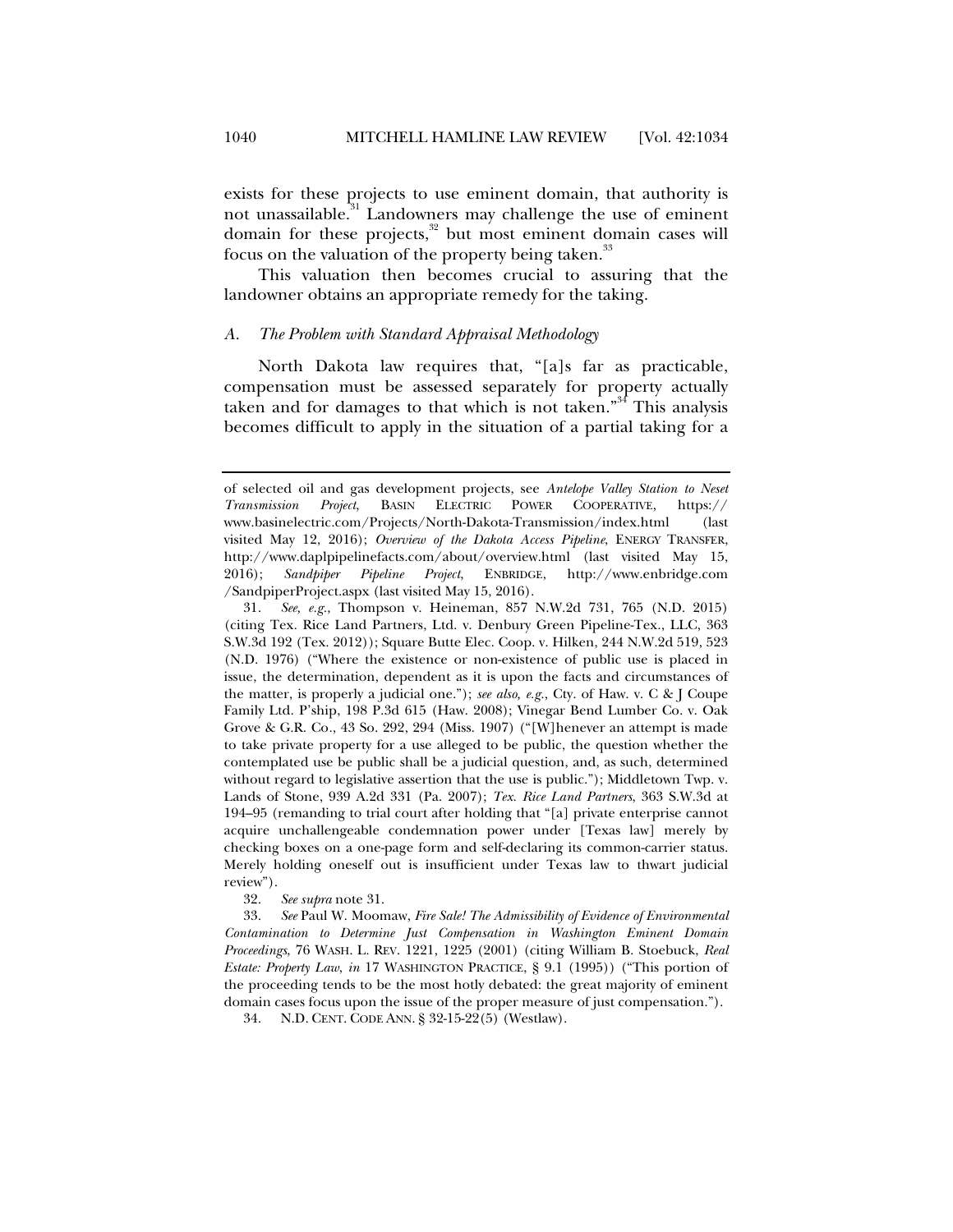exists for these projects to use eminent domain, that authority is not unassailable.<sup>31</sup> Landowners may challenge the use of eminent domain for these projects, $32$  but most eminent domain cases will focus on the valuation of the property being taken. $\frac{3}{2}$ 

This valuation then becomes crucial to assuring that the landowner obtains an appropriate remedy for the taking.

#### *A. The Problem with Standard Appraisal Methodology*

North Dakota law requires that, "[a]s far as practicable, compensation must be assessed separately for property actually taken and for damages to that which is not taken."<sup>34</sup> This analysis becomes difficult to apply in the situation of a partial taking for a

of selected oil and gas development projects, see *Antelope Valley Station to Neset Transmission Project*, BASIN ELECTRIC POWER COOPERATIVE, https:// www.basinelectric.com/Projects/North-Dakota-Transmission/index.html (last visited May 12, 2016); *Overview of the Dakota Access Pipeline*, ENERGY TRANSFER, http://www.daplpipelinefacts.com/about/overview.html (last visited May 15, 2016); *Sandpiper Pipeline Project*, ENBRIDGE, http://www.enbridge.com /SandpiperProject.aspx (last visited May 15, 2016).

 <sup>31.</sup> *See, e.g.*, Thompson v. Heineman, 857 N.W.2d 731, 765 (N.D. 2015) (citing Tex. Rice Land Partners, Ltd. v. Denbury Green Pipeline-Tex., LLC, 363 S.W.3d 192 (Tex. 2012)); Square Butte Elec. Coop. v. Hilken, 244 N.W.2d 519, 523 (N.D. 1976) ("Where the existence or non-existence of public use is placed in issue, the determination, dependent as it is upon the facts and circumstances of the matter, is properly a judicial one."); *see also, e.g.*, Cty. of Haw. v. C & J Coupe Family Ltd. P'ship, 198 P.3d 615 (Haw. 2008); Vinegar Bend Lumber Co. v. Oak Grove & G.R. Co*.*, 43 So. 292, 294 (Miss. 1907) ("[W]henever an attempt is made to take private property for a use alleged to be public, the question whether the contemplated use be public shall be a judicial question, and, as such, determined without regard to legislative assertion that the use is public."); Middletown Twp. v. Lands of Stone, 939 A.2d 331 (Pa. 2007); *Tex. Rice Land Partners*, 363 S.W.3d at 194–95 (remanding to trial court after holding that "[a] private enterprise cannot acquire unchallengeable condemnation power under [Texas law] merely by checking boxes on a one-page form and self-declaring its common-carrier status. Merely holding oneself out is insufficient under Texas law to thwart judicial review").

 <sup>32.</sup> *See supra* note 31.

 <sup>33.</sup> *See* Paul W. Moomaw, *Fire Sale! The Admissibility of Evidence of Environmental Contamination to Determine Just Compensation in Washington Eminent Domain Proceedings*, 76 WASH. L. REV. 1221, 1225 (2001) (citing William B. Stoebuck, *Real Estate: Property Law*, *in* 17 WASHINGTON PRACTICE, § 9.1 (1995)) ("This portion of the proceeding tends to be the most hotly debated: the great majority of eminent domain cases focus upon the issue of the proper measure of just compensation.").

 <sup>34.</sup> N.D. CENT. CODE ANN. § 32-15-22(5) (Westlaw).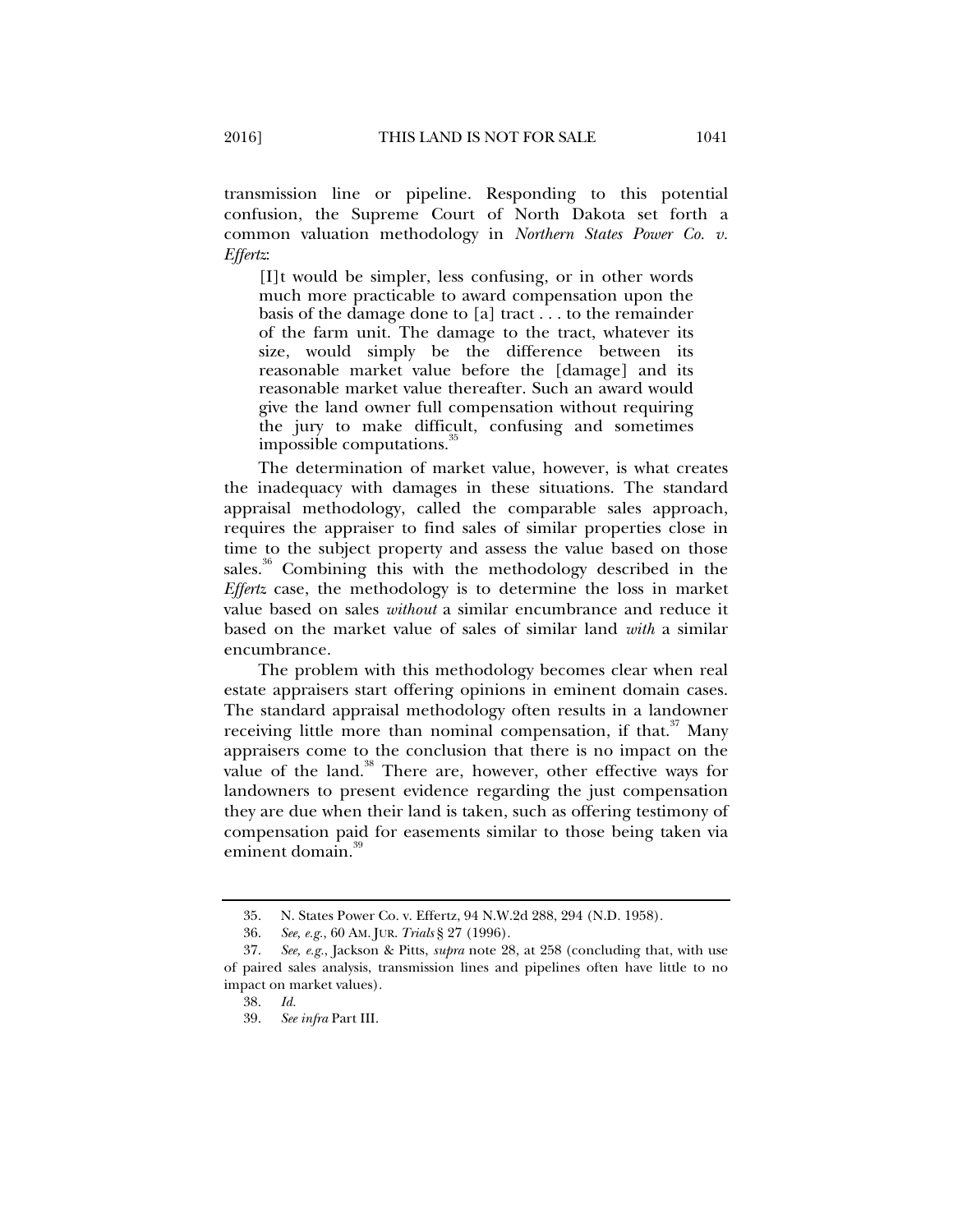transmission line or pipeline. Responding to this potential confusion, the Supreme Court of North Dakota set forth a common valuation methodology in *Northern States Power Co. v. Effertz*:

[I]t would be simpler, less confusing, or in other words much more practicable to award compensation upon the basis of the damage done to [a] tract . . . to the remainder of the farm unit. The damage to the tract, whatever its size, would simply be the difference between its reasonable market value before the [damage] and its reasonable market value thereafter. Such an award would give the land owner full compensation without requiring the jury to make difficult, confusing and sometimes impossible computations.<sup>35</sup>

The determination of market value, however, is what creates the inadequacy with damages in these situations. The standard appraisal methodology, called the comparable sales approach, requires the appraiser to find sales of similar properties close in time to the subject property and assess the value based on those sales.<sup>36</sup> Combining this with the methodology described in the *Effertz* case, the methodology is to determine the loss in market value based on sales *without* a similar encumbrance and reduce it based on the market value of sales of similar land *with* a similar encumbrance.

The problem with this methodology becomes clear when real estate appraisers start offering opinions in eminent domain cases. The standard appraisal methodology often results in a landowner receiving little more than nominal compensation, if that. $37$  Many appraisers come to the conclusion that there is no impact on the value of the land.<sup>38</sup> There are, however, other effective ways for landowners to present evidence regarding the just compensation they are due when their land is taken, such as offering testimony of compensation paid for easements similar to those being taken via eminent domain.<sup>39</sup>

 <sup>35.</sup> N. States Power Co. v. Effertz, 94 N.W.2d 288, 294 (N.D. 1958).

 <sup>36.</sup> *See, e.g.*, 60 AM. JUR. *Trials* § 27 (1996).

 <sup>37.</sup> *See, e.g.*, Jackson & Pitts, *supra* note 28, at 258 (concluding that, with use of paired sales analysis, transmission lines and pipelines often have little to no impact on market values).

 <sup>38.</sup> *Id.*

 <sup>39.</sup> *See infra* Part III.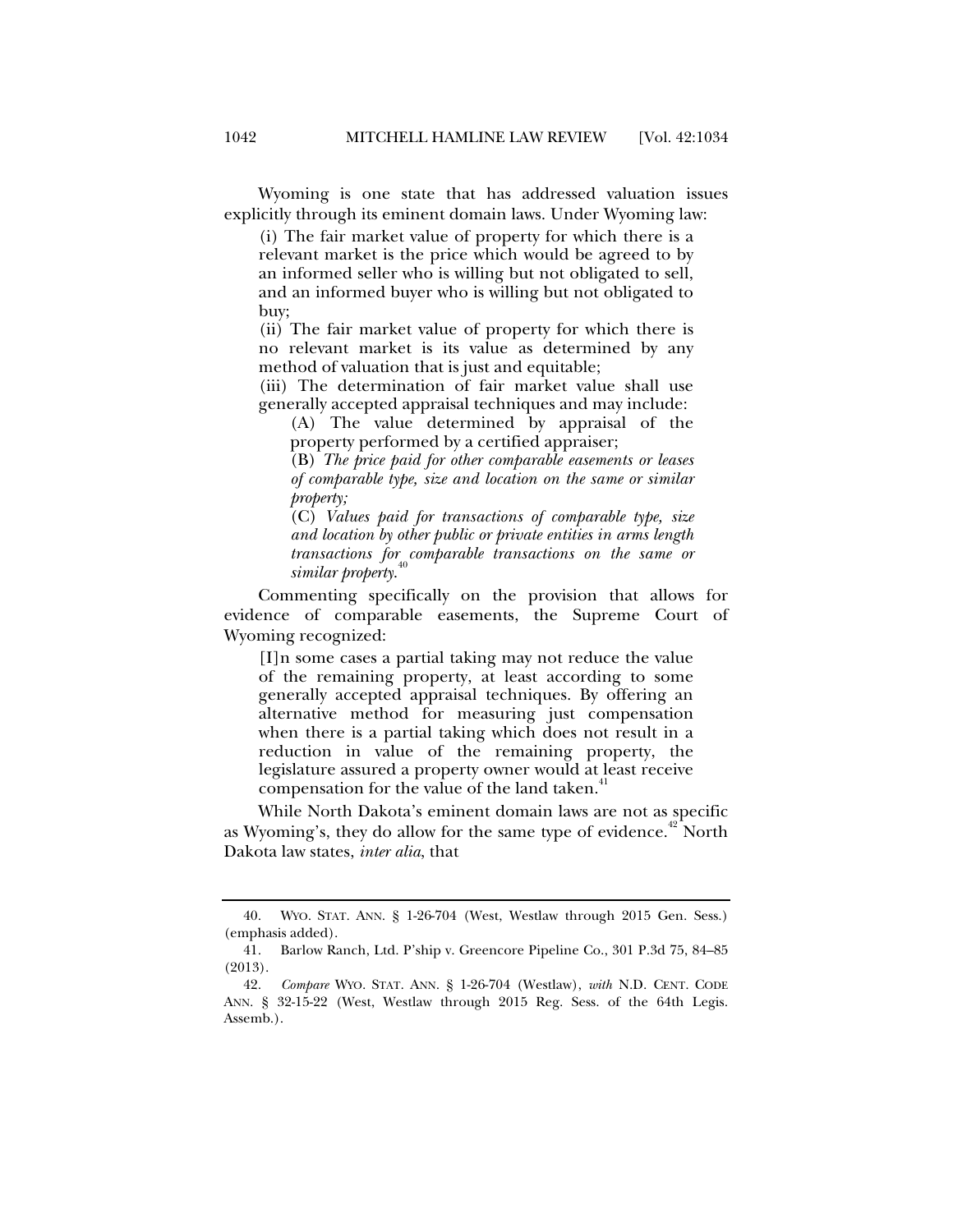Wyoming is one state that has addressed valuation issues explicitly through its eminent domain laws. Under Wyoming law:

(i) The fair market value of property for which there is a relevant market is the price which would be agreed to by an informed seller who is willing but not obligated to sell, and an informed buyer who is willing but not obligated to buy;

(ii) The fair market value of property for which there is no relevant market is its value as determined by any method of valuation that is just and equitable;

(iii) The determination of fair market value shall use generally accepted appraisal techniques and may include:

(A) The value determined by appraisal of the property performed by a certified appraiser;

(B) *The price paid for other comparable easements or leases of comparable type, size and location on the same or similar property;*

(C) *Values paid for transactions of comparable type, size and location by other public or private entities in arms length transactions for comparable transactions on the same or similar property*. 40

Commenting specifically on the provision that allows for evidence of comparable easements, the Supreme Court of Wyoming recognized:

[I]n some cases a partial taking may not reduce the value of the remaining property, at least according to some generally accepted appraisal techniques. By offering an alternative method for measuring just compensation when there is a partial taking which does not result in a reduction in value of the remaining property, the legislature assured a property owner would at least receive compensation for the value of the land taken.<sup>4</sup>

While North Dakota's eminent domain laws are not as specific as Wyoming's, they do allow for the same type of evidence.<sup>42</sup> North Dakota law states, *inter alia*, that

 <sup>40.</sup> WYO. STAT. ANN. § 1-26-704 (West, Westlaw through 2015 Gen. Sess.) (emphasis added).

 <sup>41.</sup> Barlow Ranch, Ltd. P'ship v. Greencore Pipeline Co., 301 P.3d 75, 84–85 (2013).

 <sup>42.</sup> *Compare* WYO. STAT. ANN. § 1-26-704 (Westlaw), *with* N.D. CENT. CODE ANN. § 32-15-22 (West, Westlaw through 2015 Reg. Sess. of the 64th Legis. Assemb.).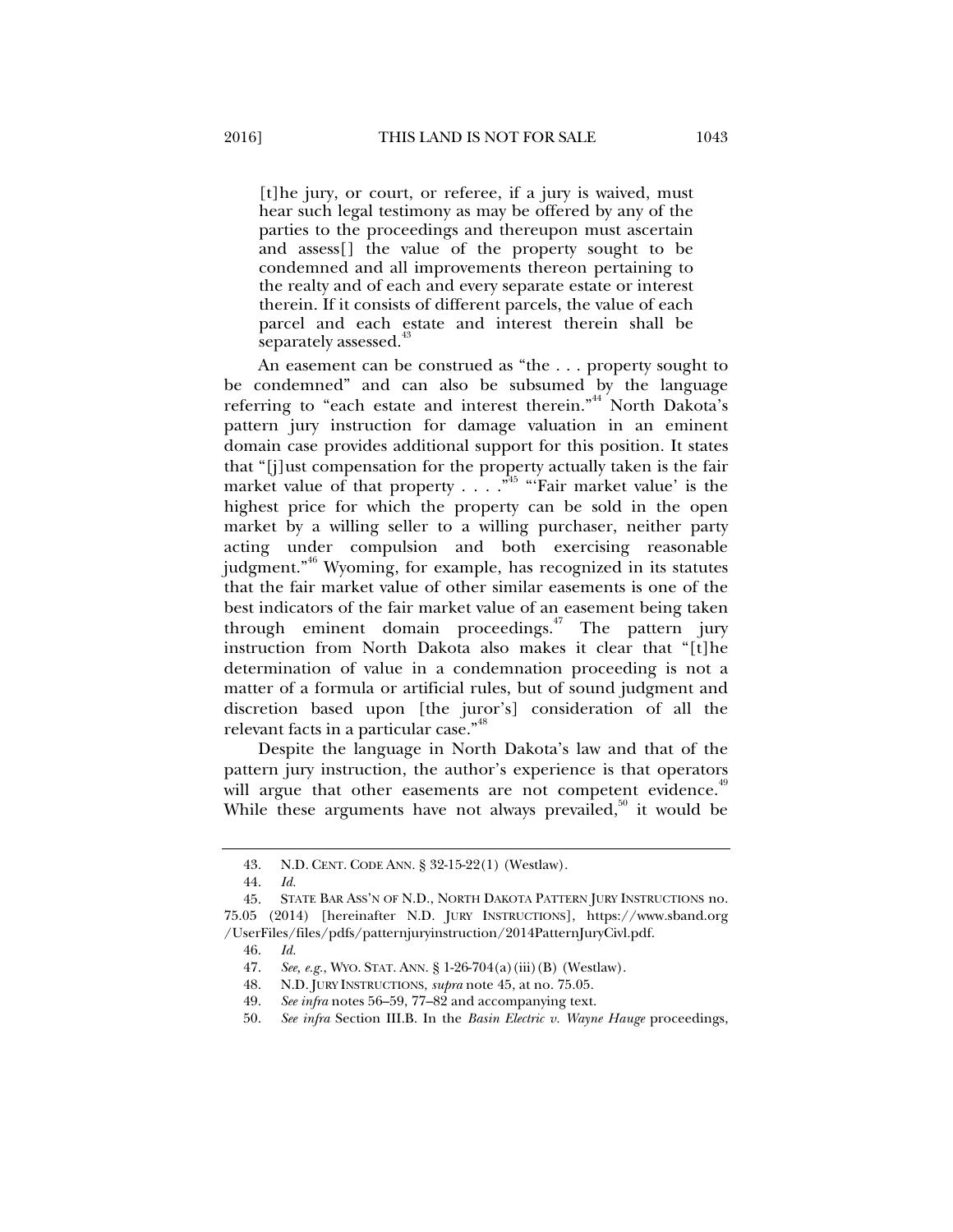[t]he jury, or court, or referee, if a jury is waived, must hear such legal testimony as may be offered by any of the parties to the proceedings and thereupon must ascertain and assess[] the value of the property sought to be condemned and all improvements thereon pertaining to the realty and of each and every separate estate or interest therein. If it consists of different parcels, the value of each parcel and each estate and interest therein shall be separately assessed.<sup>43</sup>

An easement can be construed as "the . . . property sought to be condemned" and can also be subsumed by the language referring to "each estate and interest therein."<sup>44</sup> North Dakota's pattern jury instruction for damage valuation in an eminent domain case provides additional support for this position. It states that "[j]ust compensation for the property actually taken is the fair market value of that property  $\ldots$  .  $\cdot$  <sup>45</sup> "'Fair market value' is the highest price for which the property can be sold in the open market by a willing seller to a willing purchaser, neither party acting under compulsion and both exercising reasonable judgment."<sup>46</sup> Wyoming, for example, has recognized in its statutes that the fair market value of other similar easements is one of the best indicators of the fair market value of an easement being taken through eminent domain proceedings.<sup> $47$ </sup> The pattern jury instruction from North Dakota also makes it clear that "[t]he determination of value in a condemnation proceeding is not a matter of a formula or artificial rules, but of sound judgment and discretion based upon [the juror's] consideration of all the relevant facts in a particular case."<sup>48</sup>

Despite the language in North Dakota's law and that of the pattern jury instruction, the author's experience is that operators will argue that other easements are not competent evidence.<sup>49</sup> While these arguments have not always prevailed, $50$  it would be

 <sup>43.</sup> N.D. CENT. CODE ANN. § 32-15-22(1) (Westlaw).

 <sup>44.</sup> *Id.* 

 <sup>45.</sup> STATE BAR ASS'N OF N.D., NORTH DAKOTA PATTERN JURY INSTRUCTIONS no. 75.05 (2014) [hereinafter N.D. JURY INSTRUCTIONS], https://www.sband.org /UserFiles/files/pdfs/patternjuryinstruction/2014PatternJuryCivl.pdf.

 <sup>46.</sup> *Id.*

 <sup>47.</sup> *See, e.g.*, WYO. STAT. ANN. § 1-26-704(a)(iii)(B) (Westlaw).

 <sup>48.</sup> N.D. JURY INSTRUCTIONS, *supra* note 45, at no. 75.05.

 <sup>49.</sup> *See infra* notes 56–59, 77–82 and accompanying text.

 <sup>50.</sup> *See infra* Section III.B. In the *Basin Electric v. Wayne Hauge* proceedings,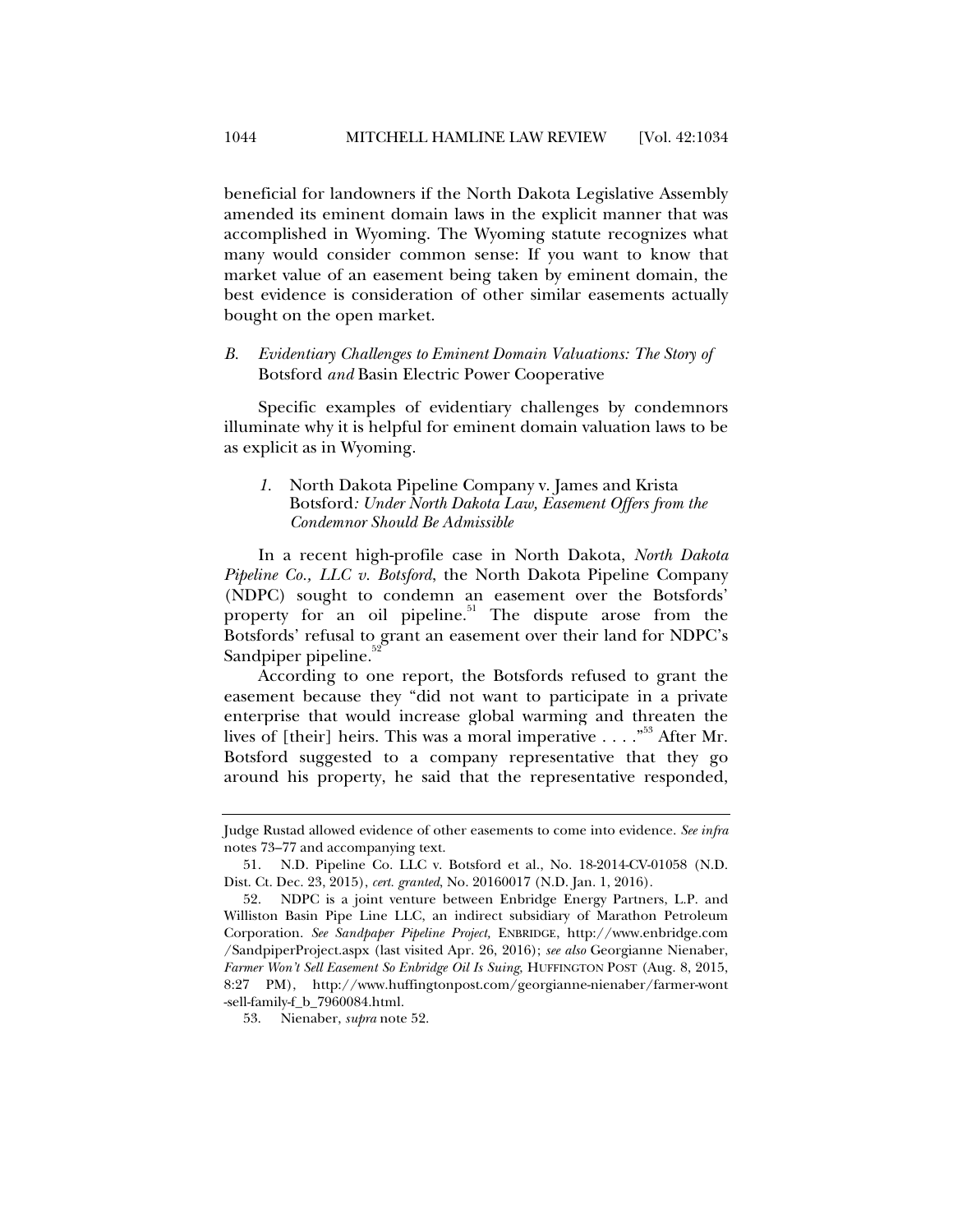beneficial for landowners if the North Dakota Legislative Assembly amended its eminent domain laws in the explicit manner that was accomplished in Wyoming. The Wyoming statute recognizes what many would consider common sense: If you want to know that market value of an easement being taken by eminent domain, the best evidence is consideration of other similar easements actually bought on the open market.

# *B. Evidentiary Challenges to Eminent Domain Valuations: The Story of*  Botsford *and* Basin Electric Power Cooperative

Specific examples of evidentiary challenges by condemnors illuminate why it is helpful for eminent domain valuation laws to be as explicit as in Wyoming.

## *1.* North Dakota Pipeline Company v. James and Krista Botsford*: Under North Dakota Law, Easement Offers from the Condemnor Should Be Admissible*

In a recent high-profile case in North Dakota, *North Dakota Pipeline Co., LLC v. Botsford*, the North Dakota Pipeline Company (NDPC) sought to condemn an easement over the Botsfords' property for an oil pipeline.<sup>51</sup> The dispute arose from the Botsfords' refusal to grant an easement over their land for NDPC's Sandpiper pipeline.

According to one report, the Botsfords refused to grant the easement because they "did not want to participate in a private enterprise that would increase global warming and threaten the lives of [their] heirs. This was a moral imperative  $\dots$ ."<sup>53</sup> After Mr. Botsford suggested to a company representative that they go around his property, he said that the representative responded,

Judge Rustad allowed evidence of other easements to come into evidence. *See infra* notes 73–77 and accompanying text.

 <sup>51.</sup> N.D. Pipeline Co. LLC v. Botsford et al., No. 18-2014-CV-01058 (N.D. Dist. Ct. Dec. 23, 2015), *cert. granted*, No. 20160017 (N.D. Jan. 1, 2016).

 <sup>52.</sup> NDPC is a joint venture between Enbridge Energy Partners, L.P. and Williston Basin Pipe Line LLC, an indirect subsidiary of Marathon Petroleum Corporation. *See Sandpaper Pipeline Project,* ENBRIDGE, http://www.enbridge.com /SandpiperProject.aspx (last visited Apr. 26, 2016); *see also* Georgianne Nienaber, *Farmer Won't Sell Easement So Enbridge Oil Is Suing*, HUFFINGTON POST (Aug. 8, 2015, 8:27 PM), http://www.huffingtonpost.com/georgianne-nienaber/farmer-wont -sell-family-f\_b\_7960084.html.

 <sup>53.</sup> Nienaber, *supra* note 52.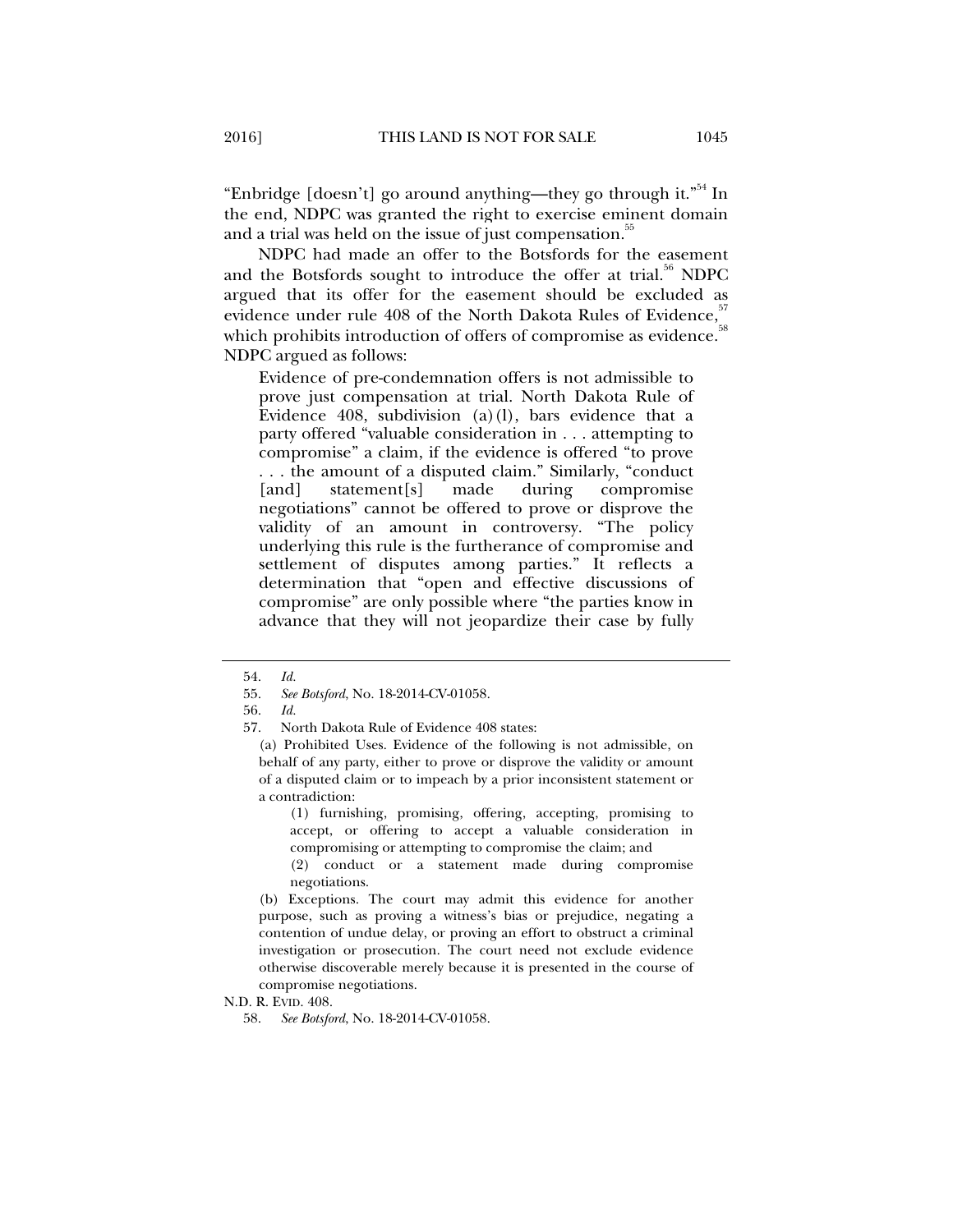"Enbridge [doesn't] go around anything—they go through it."<sup>54</sup> In the end, NDPC was granted the right to exercise eminent domain and a trial was held on the issue of just compensation.<sup>35</sup>

NDPC had made an offer to the Botsfords for the easement and the Botsfords sought to introduce the offer at trial.<sup>56</sup> NDPC argued that its offer for the easement should be excluded as evidence under rule 408 of the North Dakota Rules of Evidence, which prohibits introduction of offers of compromise as evidence. NDPC argued as follows:

Evidence of pre-condemnation offers is not admissible to prove just compensation at trial. North Dakota Rule of Evidence 408, subdivision (a)(l), bars evidence that a party offered "valuable consideration in . . . attempting to compromise" a claim, if the evidence is offered "to prove . . . the amount of a disputed claim." Similarly, "conduct [and] statement[s] made during compromise negotiations" cannot be offered to prove or disprove the validity of an amount in controversy. "The policy underlying this rule is the furtherance of compromise and settlement of disputes among parties." It reflects a determination that "open and effective discussions of compromise" are only possible where "the parties know in advance that they will not jeopardize their case by fully

(a) Prohibited Uses. Evidence of the following is not admissible, on behalf of any party, either to prove or disprove the validity or amount of a disputed claim or to impeach by a prior inconsistent statement or a contradiction:

(1) furnishing, promising, offering, accepting, promising to accept, or offering to accept a valuable consideration in compromising or attempting to compromise the claim; and

(2) conduct or a statement made during compromise negotiations.

(b) Exceptions. The court may admit this evidence for another purpose, such as proving a witness's bias or prejudice, negating a contention of undue delay, or proving an effort to obstruct a criminal investigation or prosecution. The court need not exclude evidence otherwise discoverable merely because it is presented in the course of compromise negotiations.

N.D. R. EVID. 408.

 <sup>54.</sup> *Id.*

 <sup>55.</sup> *See Botsford*, No. 18-2014-CV-01058.

 <sup>56.</sup> *Id.*

 <sup>57.</sup> North Dakota Rule of Evidence 408 states:

 <sup>58.</sup> *See Botsford*, No. 18-2014-CV-01058.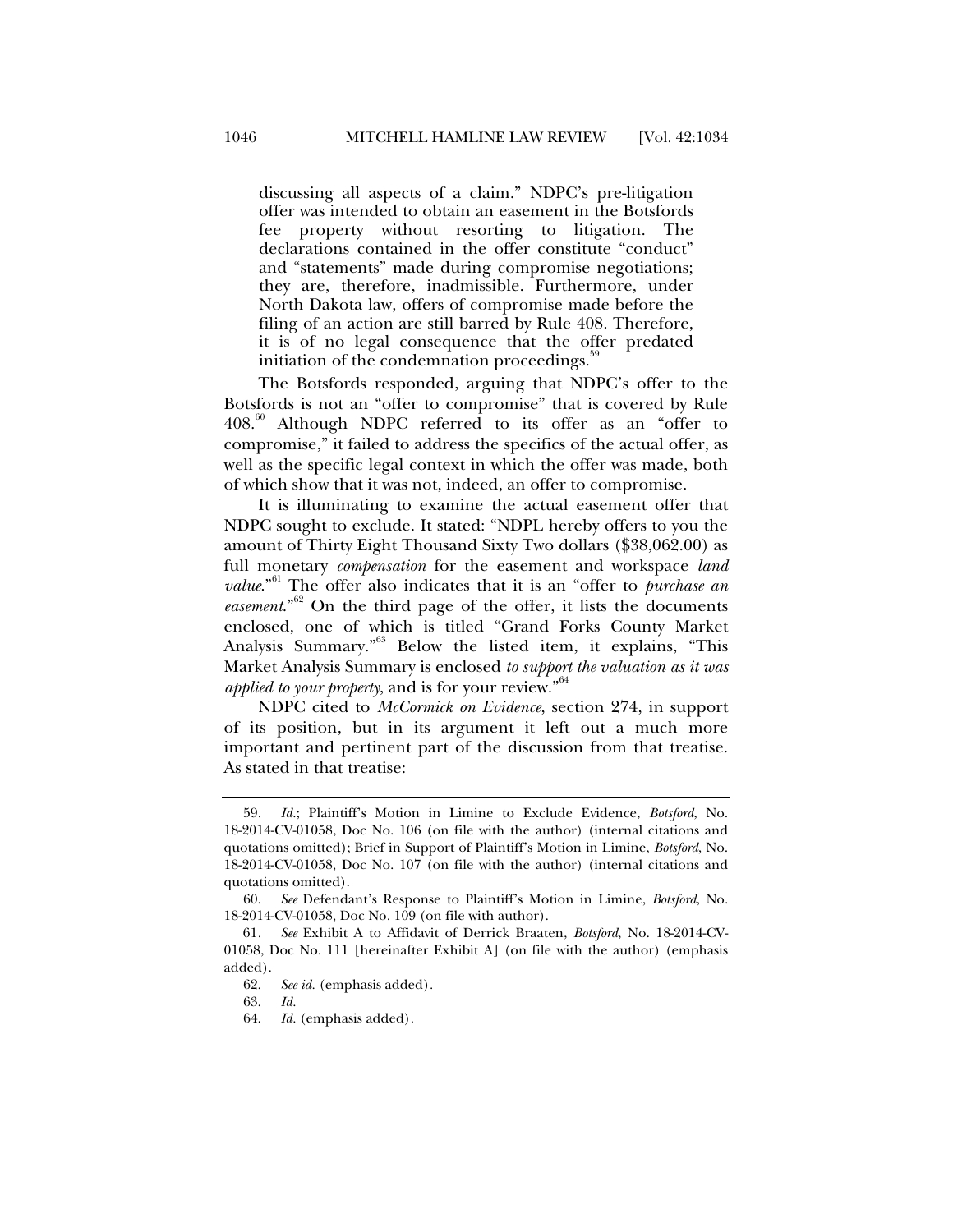discussing all aspects of a claim." NDPC's pre-litigation offer was intended to obtain an easement in the Botsfords fee property without resorting to litigation. The declarations contained in the offer constitute "conduct" and "statements" made during compromise negotiations; they are, therefore, inadmissible. Furthermore, under North Dakota law, offers of compromise made before the filing of an action are still barred by Rule 408. Therefore, it is of no legal consequence that the offer predated initiation of the condemnation proceedings.<sup>3</sup>

The Botsfords responded, arguing that NDPC's offer to the Botsfords is not an "offer to compromise" that is covered by Rule 408.<sup>60</sup> Although NDPC referred to its offer as an "offer to compromise," it failed to address the specifics of the actual offer, as well as the specific legal context in which the offer was made, both of which show that it was not, indeed, an offer to compromise.

It is illuminating to examine the actual easement offer that NDPC sought to exclude. It stated: "NDPL hereby offers to you the amount of Thirty Eight Thousand Sixty Two dollars (\$38,062.00) as full monetary *compensation* for the easement and workspace *land value*.<sup>"61</sup> The offer also indicates that it is an "offer to *purchase an easement*."62 On the third page of the offer, it lists the documents enclosed, one of which is titled "Grand Forks County Market Analysis Summary."<sup>63</sup> Below the listed item, it explains, "This Market Analysis Summary is enclosed *to support the valuation as it was applied to your property*, and is for your review."<sup>64</sup>

NDPC cited to *McCormick on Evidence*, section 274, in support of its position, but in its argument it left out a much more important and pertinent part of the discussion from that treatise. As stated in that treatise:

 <sup>59.</sup> *Id.*; Plaintiff's Motion in Limine to Exclude Evidence, *Botsford*, No. 18-2014-CV-01058, Doc No. 106 (on file with the author) (internal citations and quotations omitted); Brief in Support of Plaintiff's Motion in Limine, *Botsford*, No. 18-2014-CV-01058, Doc No. 107 (on file with the author) (internal citations and quotations omitted).

 <sup>60.</sup> *See* Defendant's Response to Plaintiff's Motion in Limine, *Botsford*, No. 18-2014-CV-01058, Doc No. 109 (on file with author).

<sup>61</sup>*. See* Exhibit A to Affidavit of Derrick Braaten, *Botsford*, No. 18-2014-CV-01058, Doc No. 111 [hereinafter Exhibit A] (on file with the author) (emphasis added).

 <sup>62.</sup> *See id.* (emphasis added)*.*

 <sup>63.</sup> *Id.* 

 <sup>64.</sup> *Id.* (emphasis added)*.*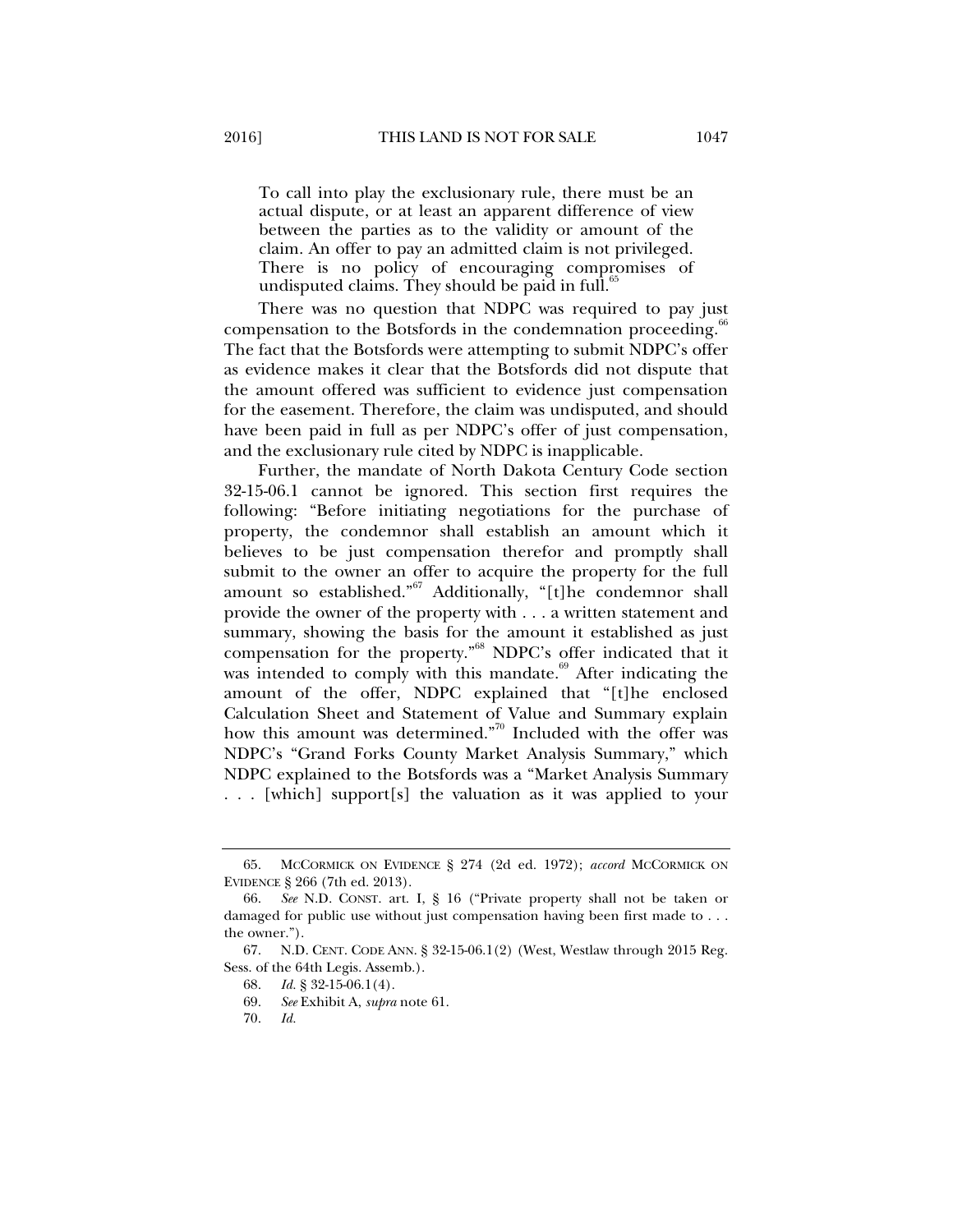To call into play the exclusionary rule, there must be an actual dispute, or at least an apparent difference of view between the parties as to the validity or amount of the claim. An offer to pay an admitted claim is not privileged. There is no policy of encouraging compromises of undisputed claims. They should be paid in full. $65$ 

There was no question that NDPC was required to pay just compensation to the Botsfords in the condemnation proceeding.<sup>6</sup> The fact that the Botsfords were attempting to submit NDPC's offer as evidence makes it clear that the Botsfords did not dispute that the amount offered was sufficient to evidence just compensation for the easement. Therefore, the claim was undisputed, and should have been paid in full as per NDPC's offer of just compensation, and the exclusionary rule cited by NDPC is inapplicable.

Further, the mandate of North Dakota Century Code section 32-15-06.1 cannot be ignored. This section first requires the following: "Before initiating negotiations for the purchase of property, the condemnor shall establish an amount which it believes to be just compensation therefor and promptly shall submit to the owner an offer to acquire the property for the full amount so established."67 Additionally, "[t]he condemnor shall provide the owner of the property with . . . a written statement and summary, showing the basis for the amount it established as just compensation for the property."68 NDPC's offer indicated that it was intended to comply with this mandate.<sup>69</sup> After indicating the amount of the offer, NDPC explained that "[t]he enclosed Calculation Sheet and Statement of Value and Summary explain how this amount was determined."<sup>70</sup> Included with the offer was NDPC's "Grand Forks County Market Analysis Summary," which NDPC explained to the Botsfords was a "Market Analysis Summary . . . [which] support[s] the valuation as it was applied to your

 <sup>65.</sup> MCCORMICK ON EVIDENCE § 274 (2d ed. 1972); *accord* MCCORMICK ON EVIDENCE § 266 (7th ed. 2013).

 <sup>66.</sup> *See* N.D. CONST. art. I, § 16 ("Private property shall not be taken or damaged for public use without just compensation having been first made to . . . the owner.").

 <sup>67.</sup> N.D. CENT. CODE ANN. § 32-15-06.1(2) (West, Westlaw through 2015 Reg. Sess. of the 64th Legis. Assemb.).

 <sup>68.</sup> *Id.* § 32-15-06.1(4).

 <sup>69.</sup> *See* Exhibit A, *supra* note 61.

 <sup>70.</sup> *Id.*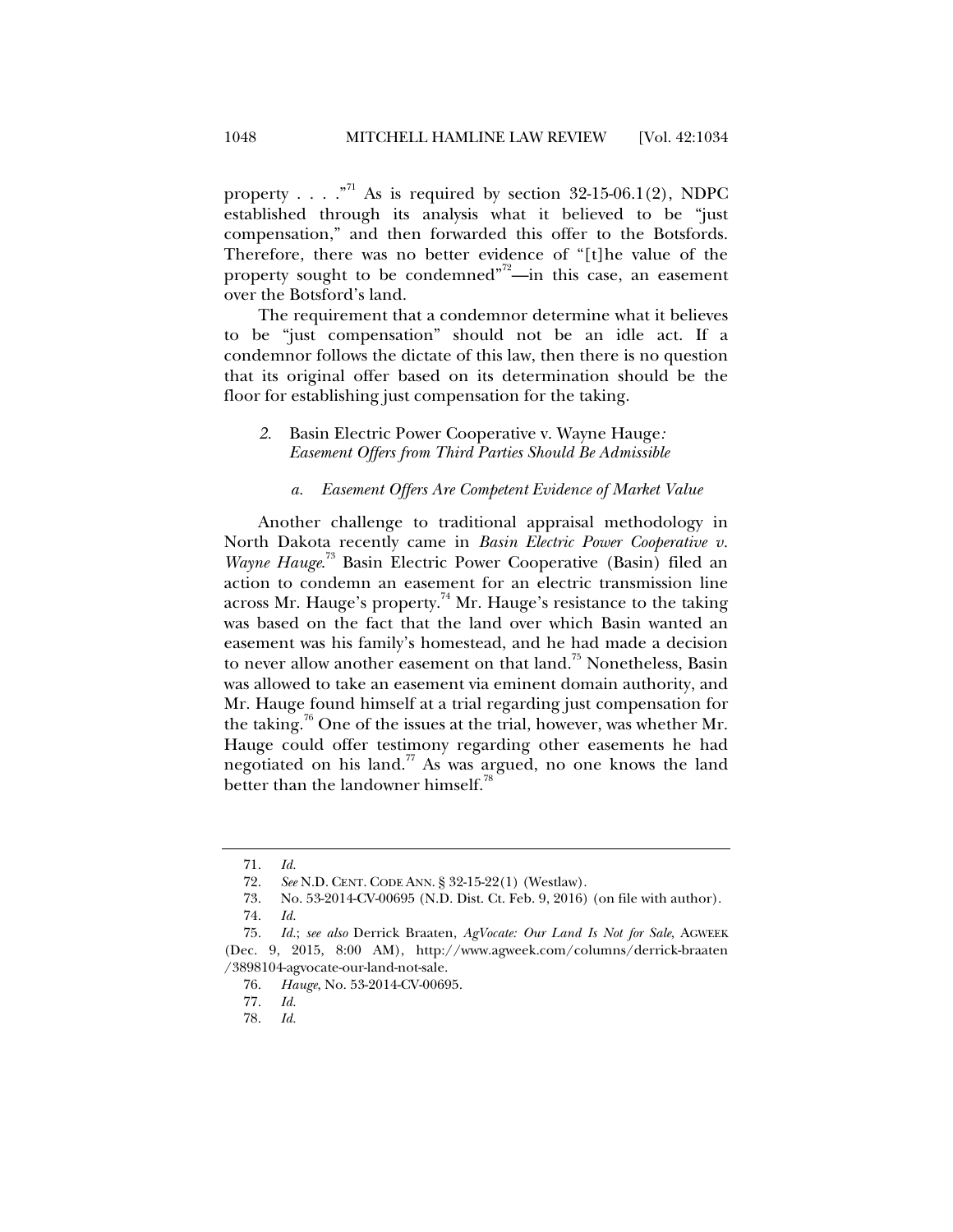property . . . .  $\cdot$  <sup>71</sup> As is required by section 32-15-06.1(2), NDPC established through its analysis what it believed to be "just compensation," and then forwarded this offer to the Botsfords. Therefore, there was no better evidence of "[t]he value of the property sought to be condemned"<sup>72</sup>—in this case, an easement over the Botsford's land.

The requirement that a condemnor determine what it believes to be "just compensation" should not be an idle act. If a condemnor follows the dictate of this law, then there is no question that its original offer based on its determination should be the floor for establishing just compensation for the taking.

## *2.* Basin Electric Power Cooperative v. Wayne Hauge*: Easement Offers from Third Parties Should Be Admissible*

#### *a. Easement Offers Are Competent Evidence of Market Value*

Another challenge to traditional appraisal methodology in North Dakota recently came in *Basin Electric Power Cooperative v. Wayne Hauge*. 73 Basin Electric Power Cooperative (Basin) filed an action to condemn an easement for an electric transmission line across Mr. Hauge's property.<sup>74</sup> Mr. Hauge's resistance to the taking was based on the fact that the land over which Basin wanted an easement was his family's homestead, and he had made a decision to never allow another easement on that land.<sup>75</sup> Nonetheless, Basin was allowed to take an easement via eminent domain authority, and Mr. Hauge found himself at a trial regarding just compensation for the taking.<sup>76</sup> One of the issues at the trial, however, was whether Mr. Hauge could offer testimony regarding other easements he had negotiated on his land.<sup>77</sup> As was argued, no one knows the land better than the landowner himself.<sup>78</sup>

 <sup>71.</sup> *Id.*

 <sup>72.</sup> *See* N.D. CENT. CODE ANN. § 32-15-22(1) (Westlaw).

 <sup>73.</sup> No. 53-2014-CV-00695 (N.D. Dist. Ct. Feb. 9, 2016) (on file with author).

 <sup>74.</sup> *Id.* 

 <sup>75.</sup> *Id.*; *see also* Derrick Braaten, *AgVocate: Our Land Is Not for Sale*, AGWEEK (Dec. 9, 2015, 8:00 AM), http://www.agweek.com/columns/derrick-braaten /3898104-agvocate-our-land-not-sale.

 <sup>76.</sup> *Hauge*, No. 53-2014-CV-00695.

 <sup>77.</sup> *Id.*

 <sup>78.</sup> *Id.*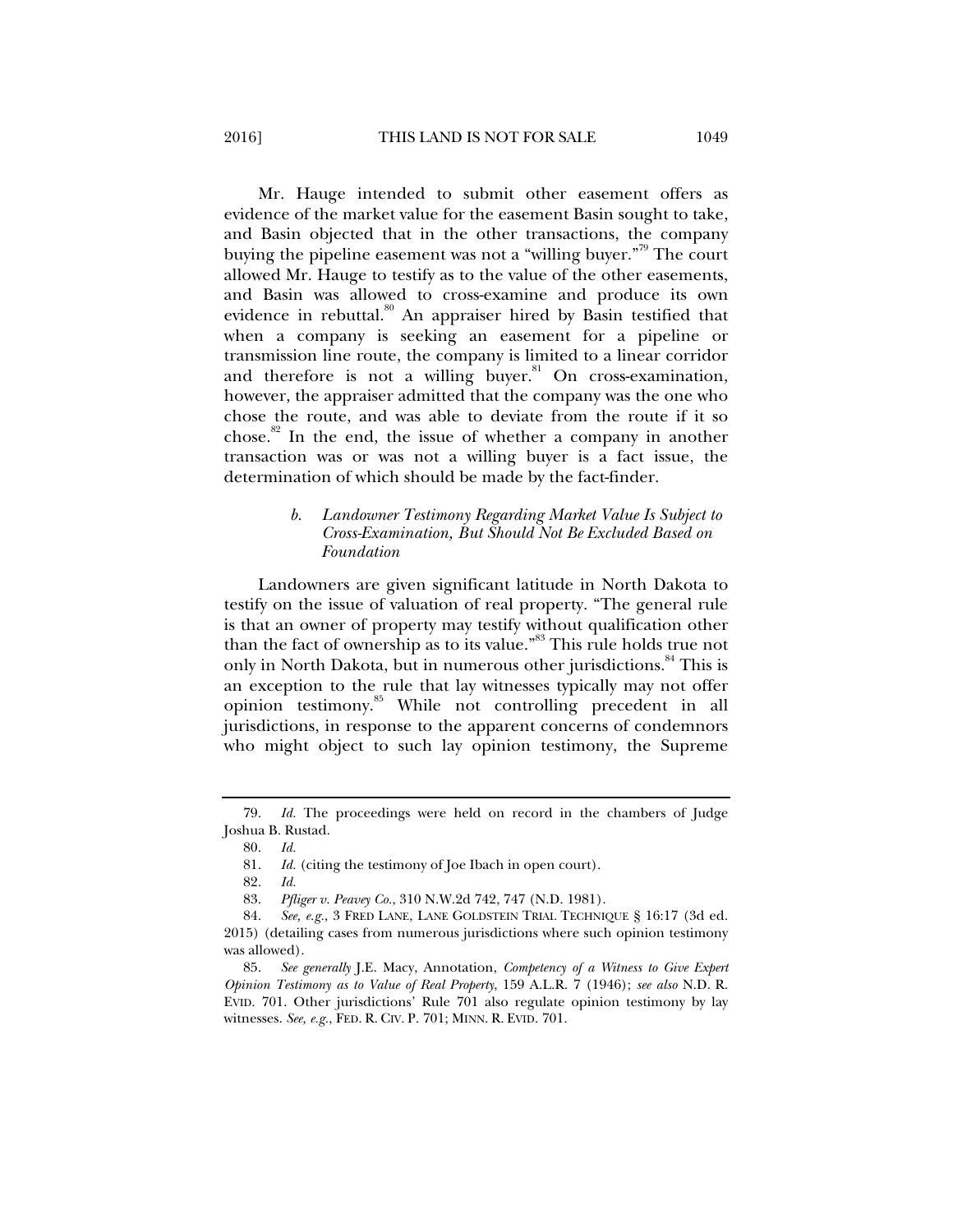Mr. Hauge intended to submit other easement offers as evidence of the market value for the easement Basin sought to take, and Basin objected that in the other transactions, the company buying the pipeline easement was not a "willing buyer."<sup>79</sup> The court allowed Mr. Hauge to testify as to the value of the other easements, and Basin was allowed to cross-examine and produce its own evidence in rebuttal.<sup>80</sup> An appraiser hired by Basin testified that when a company is seeking an easement for a pipeline or transmission line route, the company is limited to a linear corridor and therefore is not a willing buyer.<sup>81</sup> On cross-examination, however, the appraiser admitted that the company was the one who chose the route, and was able to deviate from the route if it so chose.<sup>82</sup> In the end, the issue of whether a company in another

transaction was or was not a willing buyer is a fact issue, the

determination of which should be made by the fact-finder.

# *b. Landowner Testimony Regarding Market Value Is Subject to Cross-Examination, But Should Not Be Excluded Based on Foundation*

Landowners are given significant latitude in North Dakota to testify on the issue of valuation of real property. "The general rule is that an owner of property may testify without qualification other than the fact of ownership as to its value."<sup>83</sup> This rule holds true not only in North Dakota, but in numerous other jurisdictions.<sup>84</sup> This is an exception to the rule that lay witnesses typically may not offer opinion testimony.<sup>85</sup> While not controlling precedent in all jurisdictions, in response to the apparent concerns of condemnors who might object to such lay opinion testimony, the Supreme

 <sup>79.</sup> *Id.* The proceedings were held on record in the chambers of Judge Joshua B. Rustad.

 <sup>80.</sup> *Id.*

 <sup>81.</sup> *Id.* (citing the testimony of Joe Ibach in open court).

 <sup>82.</sup> *Id.*

 <sup>83.</sup> *Pfliger v. Peavey Co.*, 310 N.W.2d 742, 747 (N.D. 1981).

 <sup>84.</sup> *See, e.g.*, 3 FRED LANE, LANE GOLDSTEIN TRIAL TECHNIQUE § 16:17 (3d ed. 2015) (detailing cases from numerous jurisdictions where such opinion testimony was allowed).

 <sup>85.</sup> *See generally* J.E. Macy, Annotation, *Competency of a Witness to Give Expert Opinion Testimony as to Value of Real Property*, 159 A.L.R. 7 (1946); *see also* N.D. R. EVID. 701. Other jurisdictions' Rule 701 also regulate opinion testimony by lay witnesses. *See, e.g.*, FED. R. CIV. P. 701; MINN. R. EVID. 701.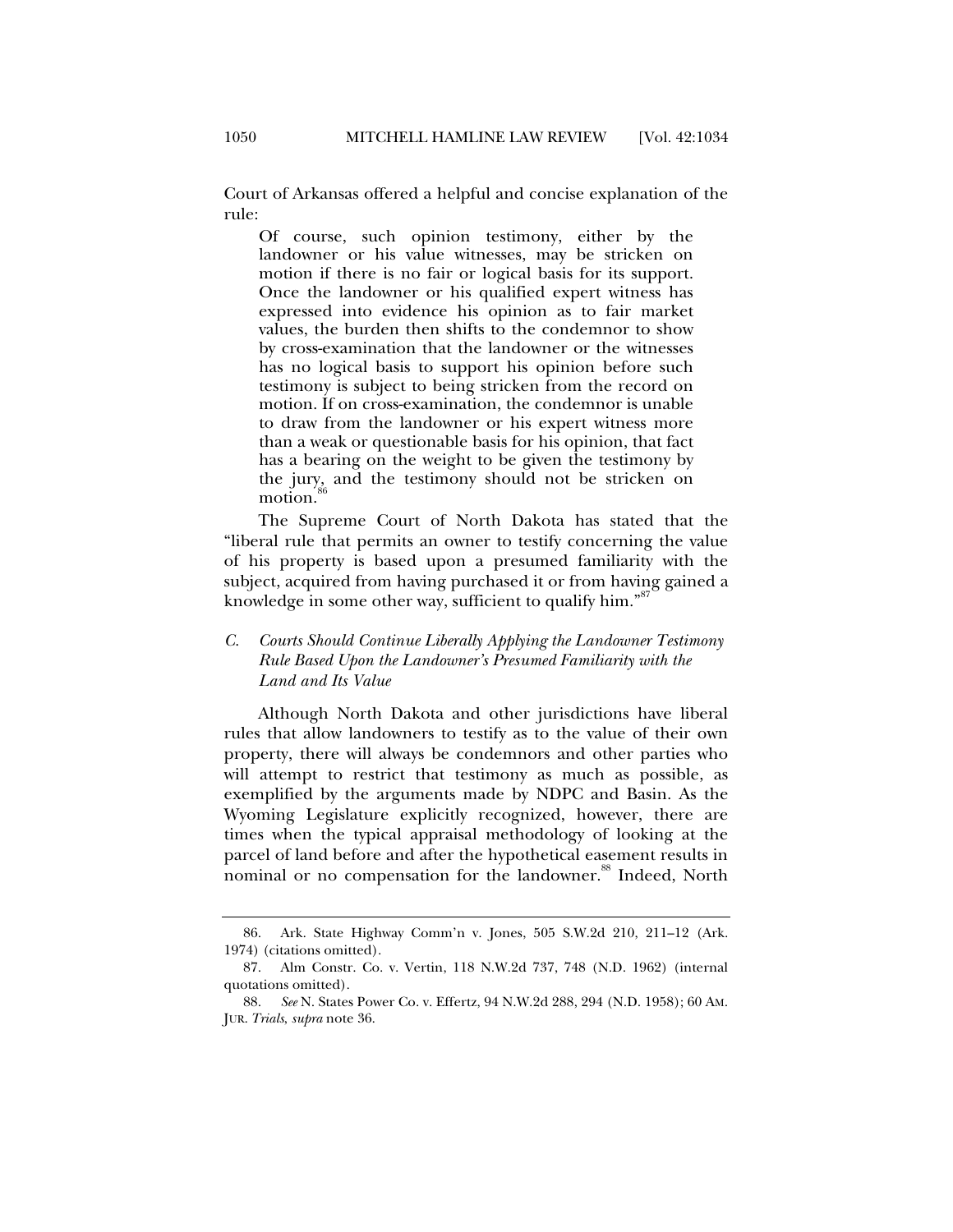Court of Arkansas offered a helpful and concise explanation of the rule:

Of course, such opinion testimony, either by the landowner or his value witnesses, may be stricken on motion if there is no fair or logical basis for its support. Once the landowner or his qualified expert witness has expressed into evidence his opinion as to fair market values, the burden then shifts to the condemnor to show by cross-examination that the landowner or the witnesses has no logical basis to support his opinion before such testimony is subject to being stricken from the record on motion. If on cross-examination, the condemnor is unable to draw from the landowner or his expert witness more than a weak or questionable basis for his opinion, that fact has a bearing on the weight to be given the testimony by the jury, and the testimony should not be stricken on motion.

The Supreme Court of North Dakota has stated that the "liberal rule that permits an owner to testify concerning the value of his property is based upon a presumed familiarity with the subject, acquired from having purchased it or from having gained a knowledge in some other way, sufficient to qualify him."<sup>87</sup>

# *C. Courts Should Continue Liberally Applying the Landowner Testimony Rule Based Upon the Landowner's Presumed Familiarity with the Land and Its Value*

Although North Dakota and other jurisdictions have liberal rules that allow landowners to testify as to the value of their own property, there will always be condemnors and other parties who will attempt to restrict that testimony as much as possible, as exemplified by the arguments made by NDPC and Basin. As the Wyoming Legislature explicitly recognized, however, there are times when the typical appraisal methodology of looking at the parcel of land before and after the hypothetical easement results in nominal or no compensation for the landowner.<sup>88</sup> Indeed, North

 <sup>86.</sup> Ark. State Highway Comm'n v. Jones, 505 S.W.2d 210, 211–12 (Ark. 1974) (citations omitted).

 <sup>87.</sup> Alm Constr. Co. v. Vertin, 118 N.W.2d 737, 748 (N.D. 1962) (internal quotations omitted).

 <sup>88.</sup> *See* N. States Power Co. v. Effertz, 94 N.W.2d 288, 294 (N.D. 1958); 60 AM. JUR. *Trials*, *supra* note 36.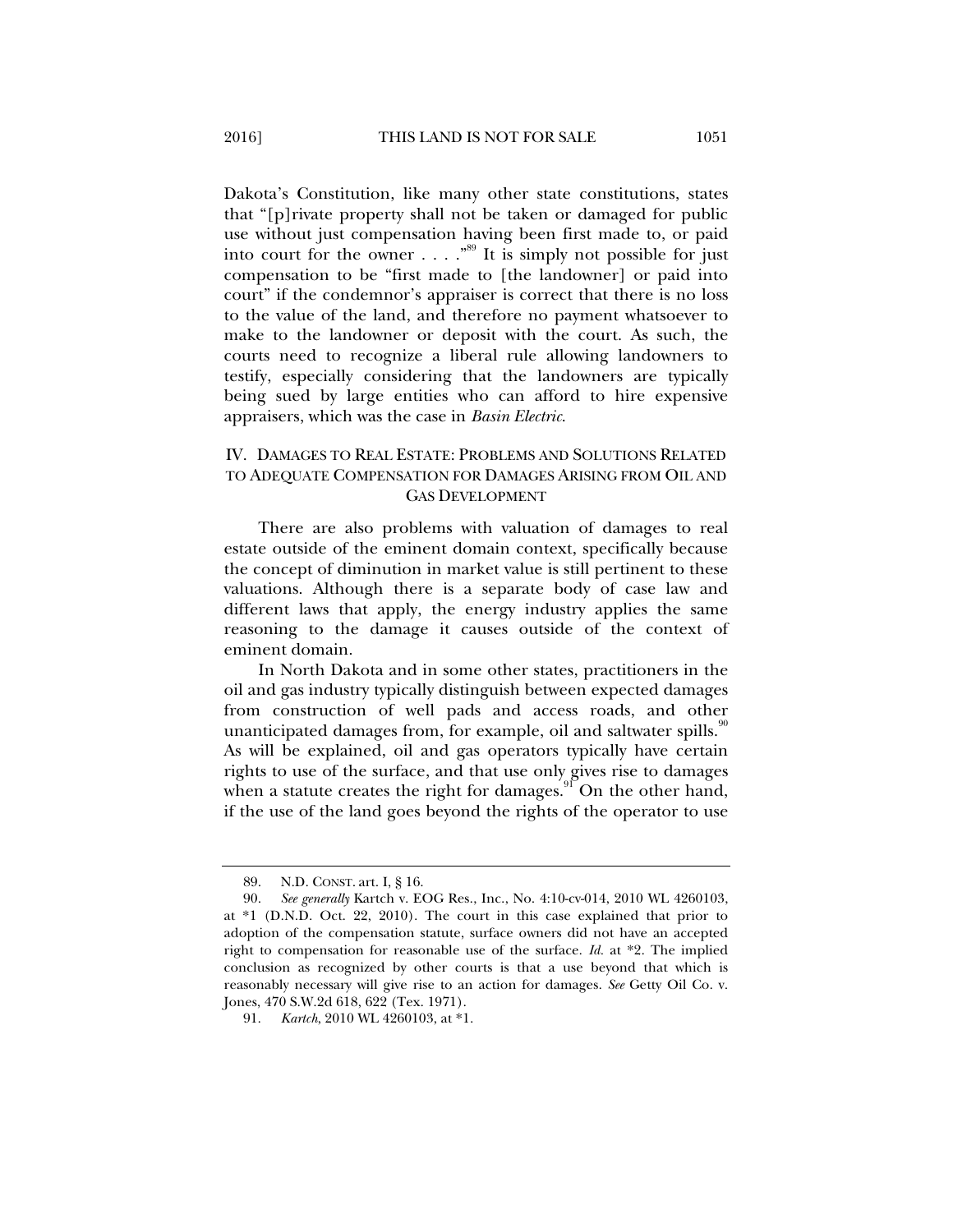Dakota's Constitution, like many other state constitutions, states that "[p]rivate property shall not be taken or damaged for public use without just compensation having been first made to, or paid into court for the owner . . . .  $.^{89}$  It is simply not possible for just compensation to be "first made to [the landowner] or paid into court" if the condemnor's appraiser is correct that there is no loss to the value of the land, and therefore no payment whatsoever to make to the landowner or deposit with the court. As such, the courts need to recognize a liberal rule allowing landowners to testify, especially considering that the landowners are typically being sued by large entities who can afford to hire expensive appraisers, which was the case in *Basin Electric*.

# IV. DAMAGES TO REAL ESTATE: PROBLEMS AND SOLUTIONS RELATED TO ADEQUATE COMPENSATION FOR DAMAGES ARISING FROM OIL AND GAS DEVELOPMENT

There are also problems with valuation of damages to real estate outside of the eminent domain context, specifically because the concept of diminution in market value is still pertinent to these valuations. Although there is a separate body of case law and different laws that apply, the energy industry applies the same reasoning to the damage it causes outside of the context of eminent domain.

In North Dakota and in some other states, practitioners in the oil and gas industry typically distinguish between expected damages from construction of well pads and access roads, and other unanticipated damages from, for example, oil and saltwater spills.<sup>90</sup> As will be explained, oil and gas operators typically have certain rights to use of the surface, and that use only gives rise to damages when a statute creates the right for damages.<sup>91</sup> On the other hand, if the use of the land goes beyond the rights of the operator to use

 <sup>89.</sup> N.D. CONST. art. I, § 16.

 <sup>90.</sup> *See generally* Kartch v. EOG Res., Inc., No. 4:10-cv-014, 2010 WL 4260103, at \*1 (D.N.D. Oct. 22, 2010). The court in this case explained that prior to adoption of the compensation statute, surface owners did not have an accepted right to compensation for reasonable use of the surface. *Id.* at \*2. The implied conclusion as recognized by other courts is that a use beyond that which is reasonably necessary will give rise to an action for damages. *See* Getty Oil Co. v. Jones, 470 S.W.2d 618, 622 (Tex. 1971).

 <sup>91.</sup> *Kartch*, 2010 WL 4260103, at \*1.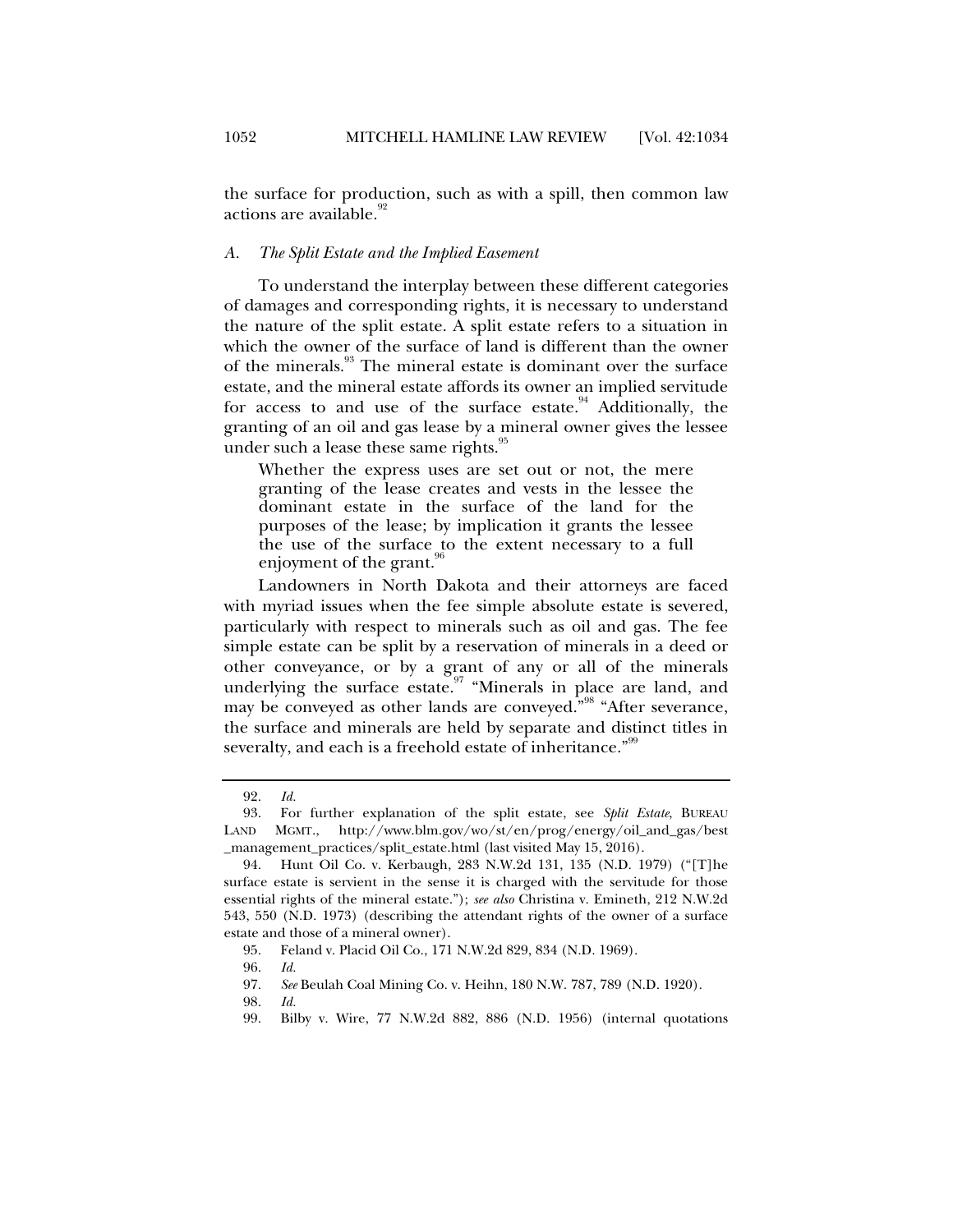the surface for production, such as with a spill, then common law actions are available.<sup>92</sup>

#### *A. The Split Estate and the Implied Easement*

To understand the interplay between these different categories of damages and corresponding rights, it is necessary to understand the nature of the split estate. A split estate refers to a situation in which the owner of the surface of land is different than the owner of the minerals.<sup>93</sup> The mineral estate is dominant over the surface estate, and the mineral estate affords its owner an implied servitude for access to and use of the surface estate. $94$  Additionally, the granting of an oil and gas lease by a mineral owner gives the lessee under such a lease these same rights.<sup>95</sup>

Whether the express uses are set out or not, the mere granting of the lease creates and vests in the lessee the dominant estate in the surface of the land for the purposes of the lease; by implication it grants the lessee the use of the surface to the extent necessary to a full enjoyment of the grant.<sup>96</sup>

Landowners in North Dakota and their attorneys are faced with myriad issues when the fee simple absolute estate is severed, particularly with respect to minerals such as oil and gas. The fee simple estate can be split by a reservation of minerals in a deed or other conveyance, or by a grant of any or all of the minerals underlying the surface estate.<sup>97</sup> "Minerals in place are land, and may be conveyed as other lands are conveyed."<sup>98</sup> "After severance, the surface and minerals are held by separate and distinct titles in severalty, and each is a freehold estate of inheritance."<sup>99</sup>

 <sup>92.</sup> *Id.*

 <sup>93.</sup> For further explanation of the split estate, see *Split Estate*, BUREAU LAND MGMT., http://www.blm.gov/wo/st/en/prog/energy/oil\_and\_gas/best \_management\_practices/split\_estate.html (last visited May 15, 2016).

 <sup>94.</sup> Hunt Oil Co. v. Kerbaugh, 283 N.W.2d 131, 135 (N.D. 1979) ("[T]he surface estate is servient in the sense it is charged with the servitude for those essential rights of the mineral estate."); *see also* Christina v. Emineth, 212 N.W.2d 543, 550 (N.D. 1973) (describing the attendant rights of the owner of a surface estate and those of a mineral owner).

 <sup>95.</sup> Feland v. Placid Oil Co., 171 N.W.2d 829, 834 (N.D. 1969).

 <sup>96.</sup> *Id.*

 <sup>97.</sup> *See* Beulah Coal Mining Co. v. Heihn, 180 N.W. 787, 789 (N.D. 1920).

 <sup>98.</sup> *Id.*

 <sup>99.</sup> Bilby v. Wire, 77 N.W.2d 882, 886 (N.D. 1956) (internal quotations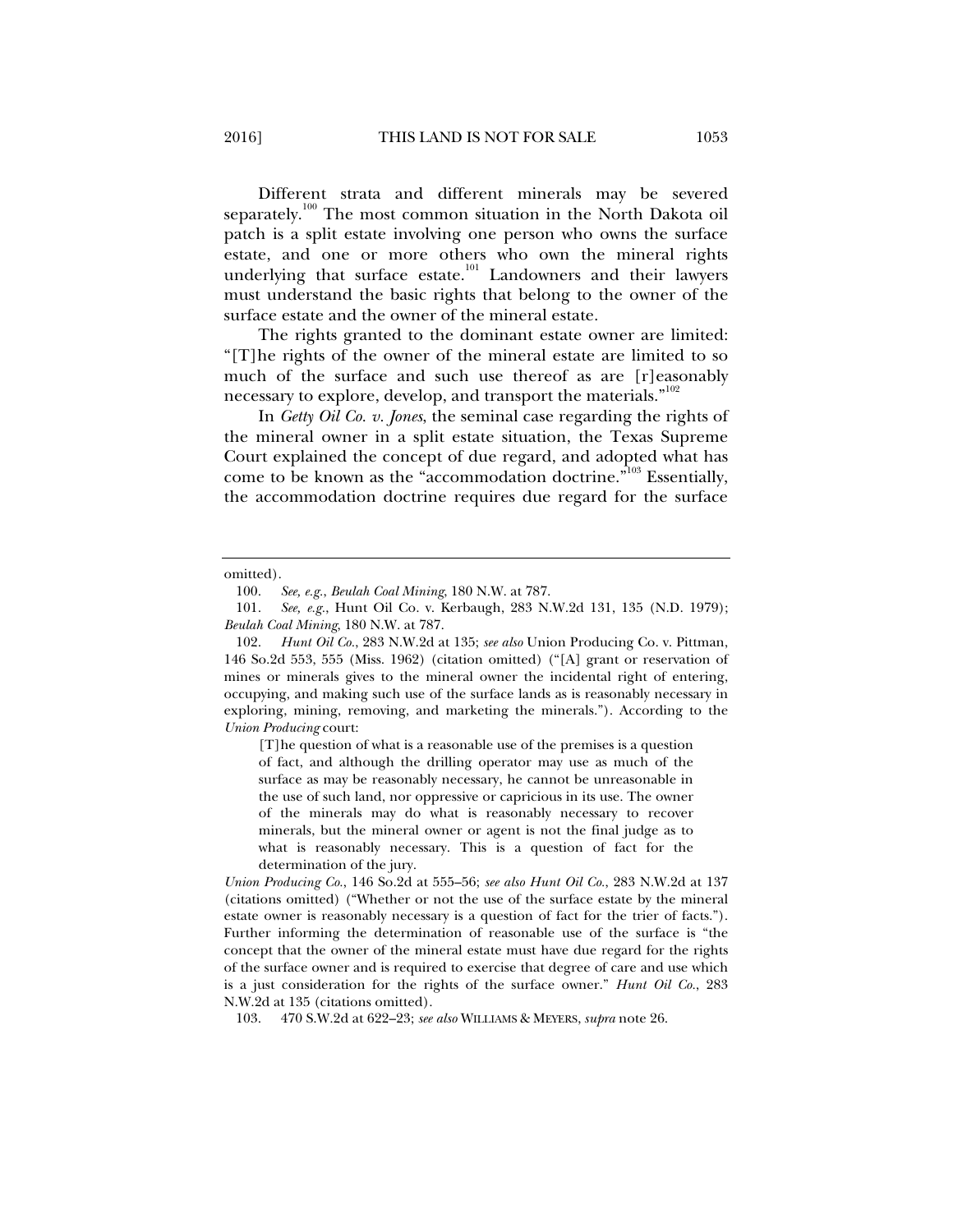Different strata and different minerals may be severed separately.<sup>100</sup> The most common situation in the North Dakota oil patch is a split estate involving one person who owns the surface estate, and one or more others who own the mineral rights underlying that surface estate.<sup>101</sup> Landowners and their lawyers must understand the basic rights that belong to the owner of the surface estate and the owner of the mineral estate.

The rights granted to the dominant estate owner are limited: "[T]he rights of the owner of the mineral estate are limited to so much of the surface and such use thereof as are [r]easonably necessary to explore, develop, and transport the materials."<sup>102</sup>

In *Getty Oil Co. v. Jones*, the seminal case regarding the rights of the mineral owner in a split estate situation, the Texas Supreme Court explained the concept of due regard, and adopted what has come to be known as the "accommodation doctrine."<sup>103</sup> Essentially, the accommodation doctrine requires due regard for the surface

[T]he question of what is a reasonable use of the premises is a question of fact, and although the drilling operator may use as much of the surface as may be reasonably necessary, he cannot be unreasonable in the use of such land, nor oppressive or capricious in its use. The owner of the minerals may do what is reasonably necessary to recover minerals, but the mineral owner or agent is not the final judge as to what is reasonably necessary. This is a question of fact for the determination of the jury.

*Union Producing Co.*, 146 So.2d at 555–56; *see also Hunt Oil Co.*, 283 N.W.2d at 137 (citations omitted) ("Whether or not the use of the surface estate by the mineral estate owner is reasonably necessary is a question of fact for the trier of facts."). Further informing the determination of reasonable use of the surface is "the concept that the owner of the mineral estate must have due regard for the rights of the surface owner and is required to exercise that degree of care and use which is a just consideration for the rights of the surface owner." *Hunt Oil Co.*, 283 N.W.2d at 135 (citations omitted).

103. 470 S.W.2d at 622–23; *see also* WILLIAMS & MEYERS, *supra* note 26.

omitted).

 <sup>100.</sup> *See, e.g.*, *Beulah Coal Mining*, 180 N.W. at 787.

 <sup>101.</sup> *See, e.g.*, Hunt Oil Co. v. Kerbaugh, 283 N.W.2d 131, 135 (N.D. 1979); *Beulah Coal Mining*, 180 N.W. at 787.

 <sup>102.</sup> *Hunt Oil Co.*, 283 N.W.2d at 135; *see also* Union Producing Co. v. Pittman, 146 So.2d 553, 555 (Miss. 1962) (citation omitted) ("[A] grant or reservation of mines or minerals gives to the mineral owner the incidental right of entering, occupying, and making such use of the surface lands as is reasonably necessary in exploring, mining, removing, and marketing the minerals."). According to the *Union Producing* court: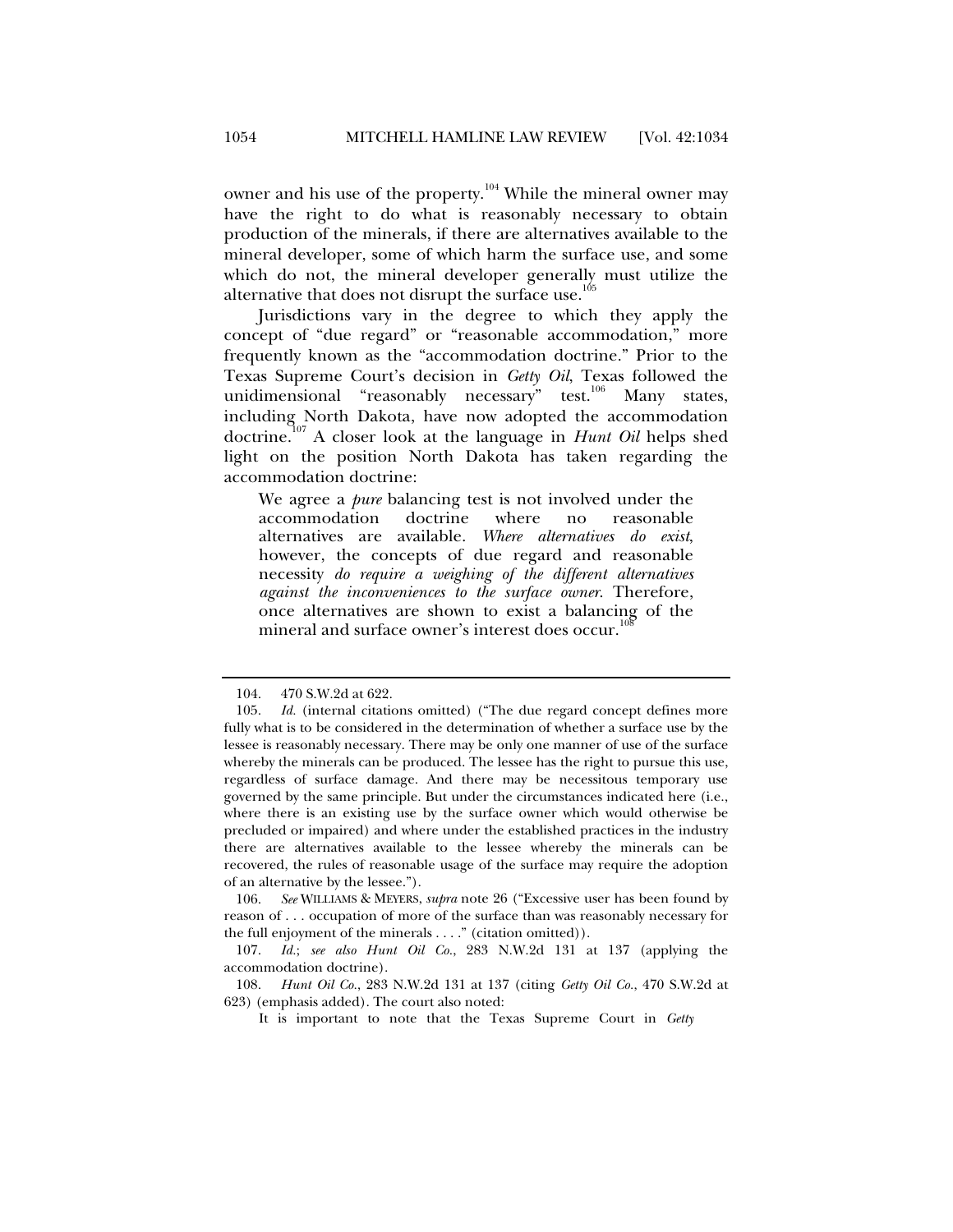owner and his use of the property.<sup>104</sup> While the mineral owner may have the right to do what is reasonably necessary to obtain production of the minerals, if there are alternatives available to the mineral developer, some of which harm the surface use, and some which do not, the mineral developer generally must utilize the alternative that does not disrupt the surface use. $^{105}$ 

Jurisdictions vary in the degree to which they apply the concept of "due regard" or "reasonable accommodation," more frequently known as the "accommodation doctrine." Prior to the Texas Supreme Court's decision in *Getty Oil*, Texas followed the unidimensional "reasonably necessary" test.<sup>106</sup> Many states, including North Dakota, have now adopted the accommodation doctrine.107 A closer look at the language in *Hunt Oil* helps shed light on the position North Dakota has taken regarding the accommodation doctrine:

We agree a *pure* balancing test is not involved under the accommodation doctrine where no reasonable alternatives are available. *Where alternatives do exist*, however, the concepts of due regard and reasonable necessity *do require a weighing of the different alternatives against the inconveniences to the surface owner*. Therefore, once alternatives are shown to exist a balancing of the mineral and surface owner's interest does occur.<sup>1</sup>

 <sup>104. 470</sup> S.W.2d at 622.

 <sup>105.</sup> *Id.* (internal citations omitted) ("The due regard concept defines more fully what is to be considered in the determination of whether a surface use by the lessee is reasonably necessary. There may be only one manner of use of the surface whereby the minerals can be produced. The lessee has the right to pursue this use, regardless of surface damage. And there may be necessitous temporary use governed by the same principle. But under the circumstances indicated here (i.e., where there is an existing use by the surface owner which would otherwise be precluded or impaired) and where under the established practices in the industry there are alternatives available to the lessee whereby the minerals can be recovered, the rules of reasonable usage of the surface may require the adoption of an alternative by the lessee.").

 <sup>106.</sup> *See* WILLIAMS & MEYERS, *supra* note 26 ("Excessive user has been found by reason of . . . occupation of more of the surface than was reasonably necessary for the full enjoyment of the minerals . . . ." (citation omitted)).

 <sup>107.</sup> *Id.*; *see also Hunt Oil Co.*, 283 N.W.2d 131 at 137 (applying the accommodation doctrine).

 <sup>108.</sup> *Hunt Oil Co.*, 283 N.W.2d 131 at 137 (citing *Getty Oil Co.*, 470 S.W.2d at 623) (emphasis added). The court also noted:

It is important to note that the Texas Supreme Court in *Getty*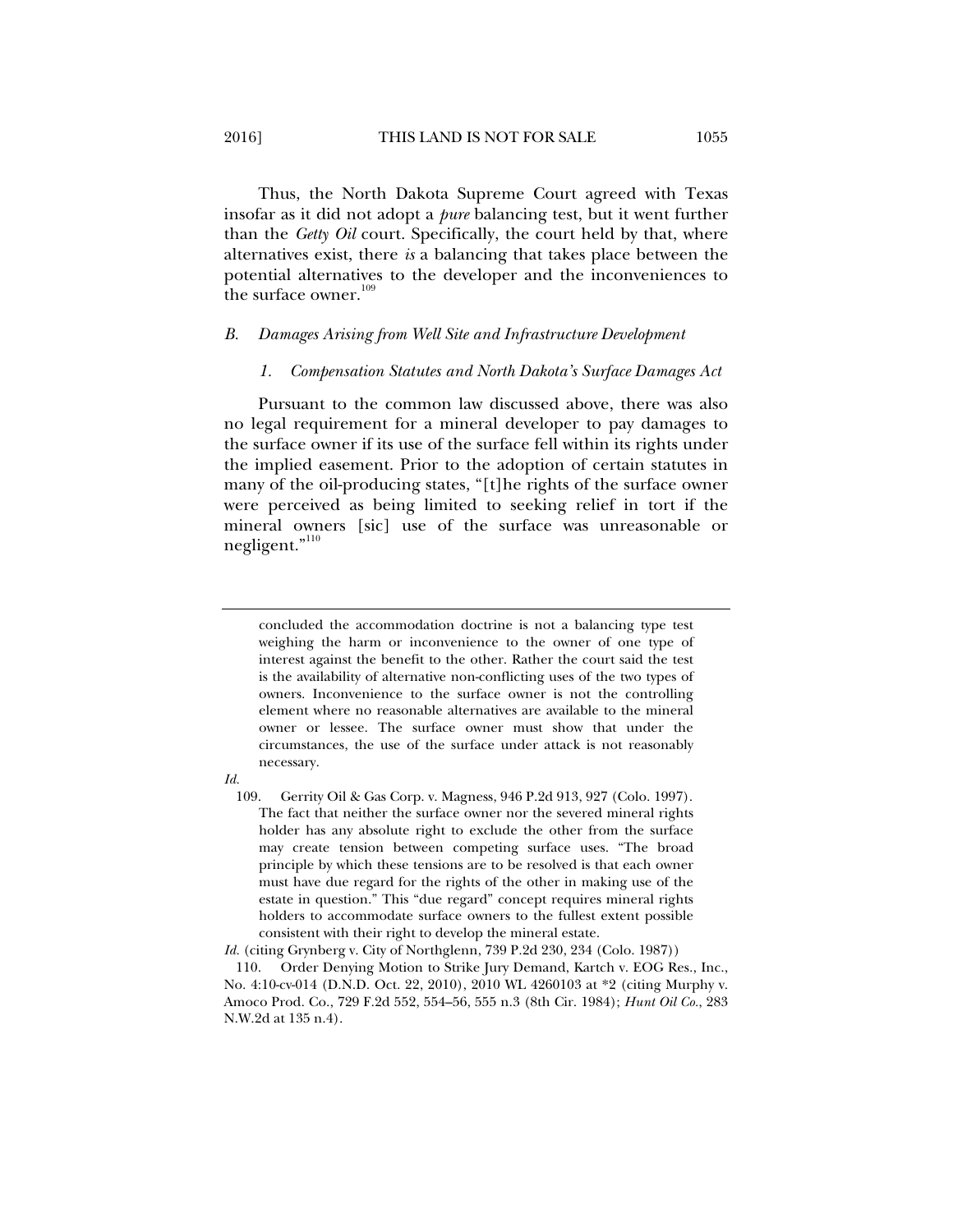Thus, the North Dakota Supreme Court agreed with Texas insofar as it did not adopt a *pure* balancing test, but it went further than the *Getty Oil* court. Specifically, the court held by that, where alternatives exist, there *is* a balancing that takes place between the potential alternatives to the developer and the inconveniences to the surface owner.<sup>109</sup>

#### *B. Damages Arising from Well Site and Infrastructure Development*

#### *1. Compensation Statutes and North Dakota's Surface Damages Act*

Pursuant to the common law discussed above, there was also no legal requirement for a mineral developer to pay damages to the surface owner if its use of the surface fell within its rights under the implied easement. Prior to the adoption of certain statutes in many of the oil-producing states, "[t]he rights of the surface owner were perceived as being limited to seeking relief in tort if the mineral owners [sic] use of the surface was unreasonable or negligent."<sup>110</sup>

concluded the accommodation doctrine is not a balancing type test weighing the harm or inconvenience to the owner of one type of interest against the benefit to the other. Rather the court said the test is the availability of alternative non-conflicting uses of the two types of owners. Inconvenience to the surface owner is not the controlling element where no reasonable alternatives are available to the mineral owner or lessee. The surface owner must show that under the circumstances, the use of the surface under attack is not reasonably necessary.

*Id.* 

 109. Gerrity Oil & Gas Corp. v. Magness, 946 P.2d 913, 927 (Colo. 1997). The fact that neither the surface owner nor the severed mineral rights holder has any absolute right to exclude the other from the surface may create tension between competing surface uses. "The broad principle by which these tensions are to be resolved is that each owner must have due regard for the rights of the other in making use of the estate in question." This "due regard" concept requires mineral rights holders to accommodate surface owners to the fullest extent possible consistent with their right to develop the mineral estate.

*Id.* (citing Grynberg v. City of Northglenn, 739 P.2d 230, 234 (Colo. 1987))

 110. Order Denying Motion to Strike Jury Demand, Kartch v. EOG Res., Inc., No. 4:10-cv-014 (D.N.D. Oct. 22, 2010), 2010 WL 4260103 at \*2 (citing Murphy v. Amoco Prod. Co., 729 F.2d 552, 554–56, 555 n.3 (8th Cir. 1984); *Hunt Oil Co.*, 283 N.W.2d at 135 n.4).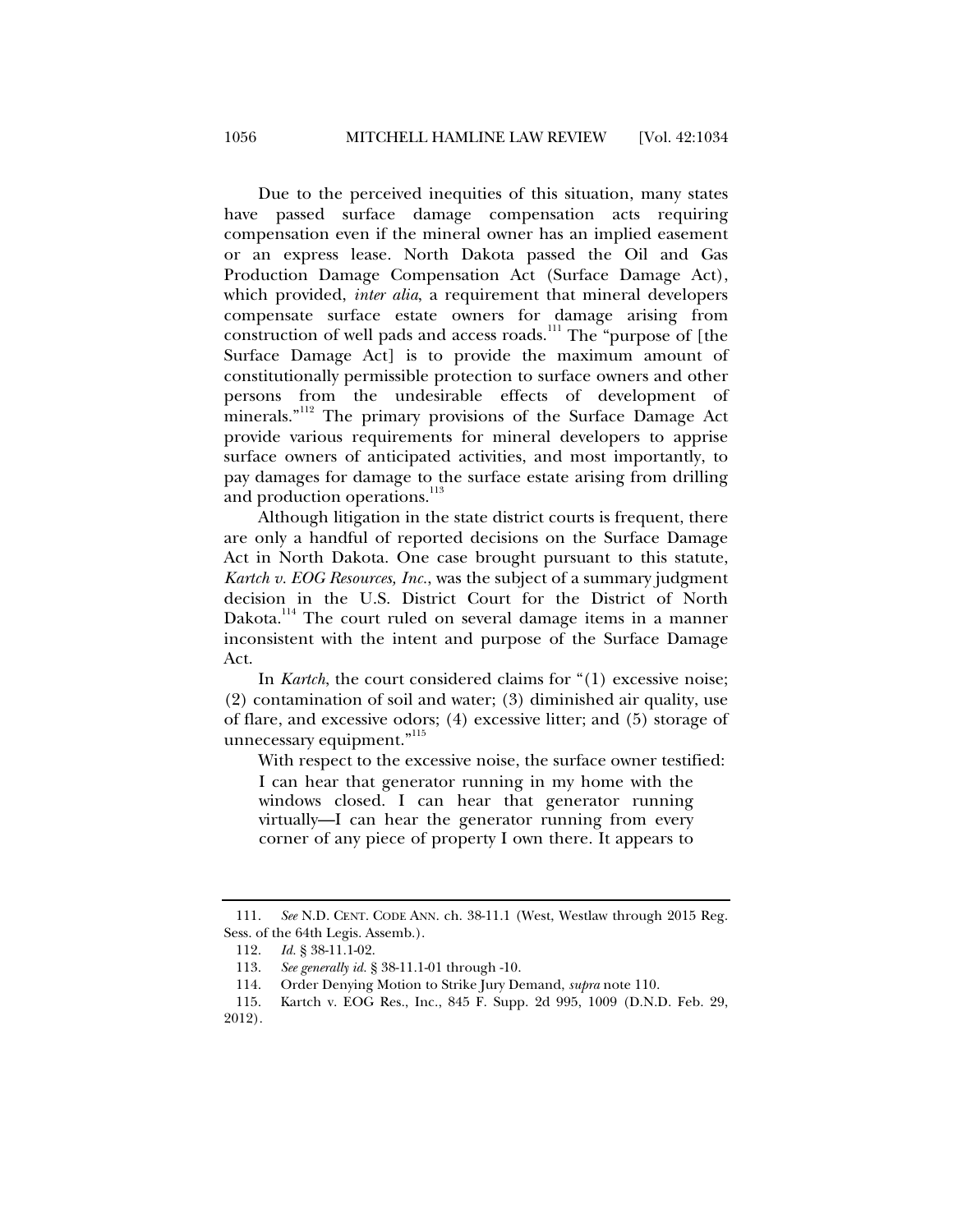Due to the perceived inequities of this situation, many states have passed surface damage compensation acts requiring compensation even if the mineral owner has an implied easement or an express lease. North Dakota passed the Oil and Gas Production Damage Compensation Act (Surface Damage Act), which provided, *inter alia*, a requirement that mineral developers compensate surface estate owners for damage arising from construction of well pads and access roads.<sup>111</sup> The "purpose of [the Surface Damage Act] is to provide the maximum amount of constitutionally permissible protection to surface owners and other persons from the undesirable effects of development of minerals."<sup>112</sup> The primary provisions of the Surface Damage Act provide various requirements for mineral developers to apprise surface owners of anticipated activities, and most importantly, to pay damages for damage to the surface estate arising from drilling and production operations.<sup>113</sup>

Although litigation in the state district courts is frequent, there are only a handful of reported decisions on the Surface Damage Act in North Dakota. One case brought pursuant to this statute, *Kartch v. EOG Resources, Inc.*, was the subject of a summary judgment decision in the U.S. District Court for the District of North Dakota.<sup>114</sup> The court ruled on several damage items in a manner inconsistent with the intent and purpose of the Surface Damage Act.

In *Kartch*, the court considered claims for "(1) excessive noise; (2) contamination of soil and water; (3) diminished air quality, use of flare, and excessive odors; (4) excessive litter; and (5) storage of unnecessary equipment."<sup>115</sup>

With respect to the excessive noise, the surface owner testified:

I can hear that generator running in my home with the windows closed. I can hear that generator running virtually—I can hear the generator running from every corner of any piece of property I own there. It appears to

 <sup>111.</sup> *See* N.D. CENT. CODE ANN. ch. 38-11.1 (West, Westlaw through 2015 Reg. Sess. of the 64th Legis. Assemb.).

 <sup>112.</sup> *Id.* § 38-11.1-02.

 <sup>113.</sup> *See generally id.* § 38-11.1-01 through -10.

 <sup>114.</sup> Order Denying Motion to Strike Jury Demand, *supra* note 110.

 <sup>115.</sup> Kartch v. EOG Res., Inc., 845 F. Supp. 2d 995, 1009 (D.N.D. Feb. 29, 2012).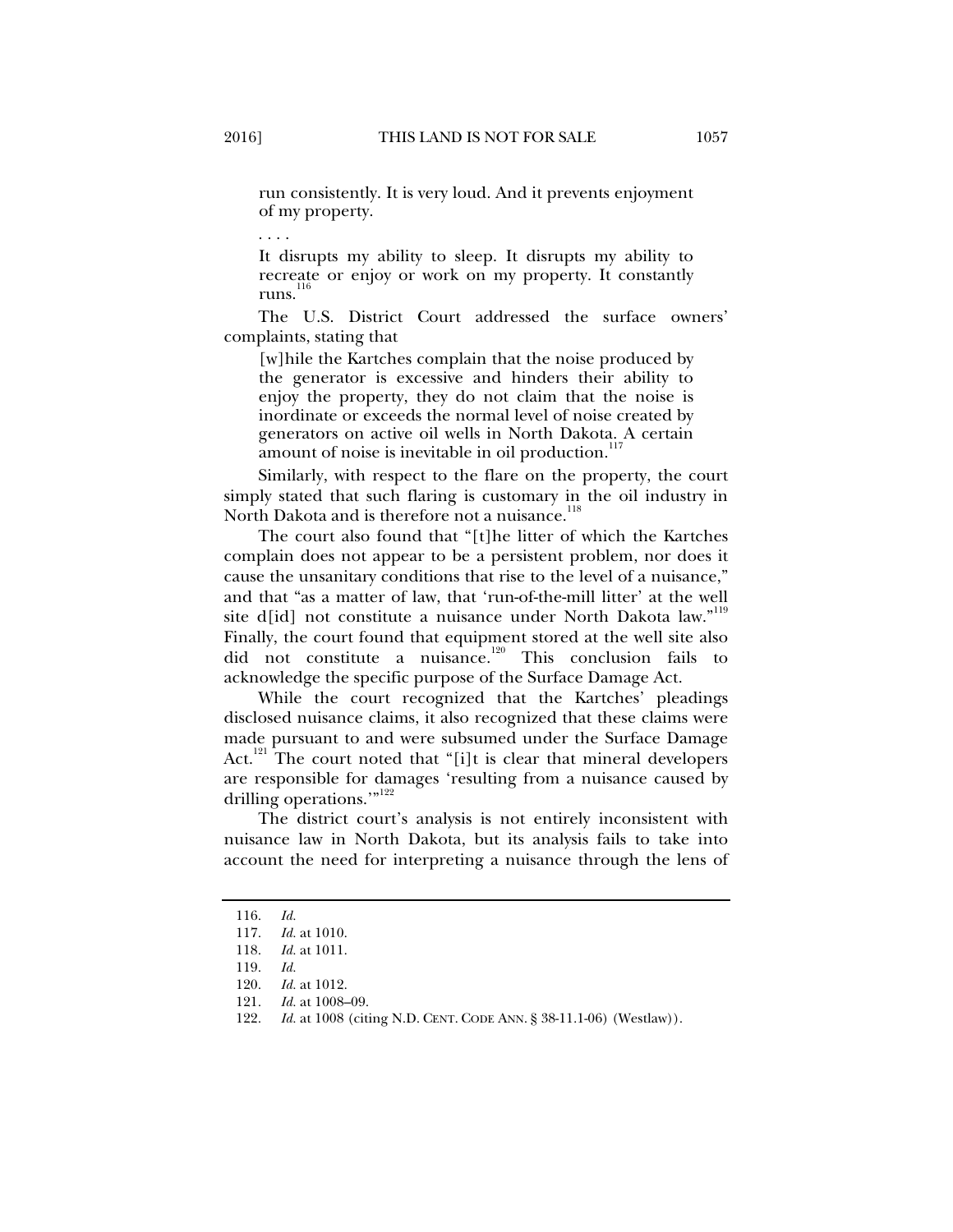run consistently. It is very loud. And it prevents enjoyment of my property.

. . . .

It disrupts my ability to sleep. It disrupts my ability to recreate or enjoy or work on my property. It constantly runs. $<sup>1</sup>$ </sup>

The U.S. District Court addressed the surface owners' complaints, stating that

[w] hile the Kartches complain that the noise produced by the generator is excessive and hinders their ability to enjoy the property, they do not claim that the noise is inordinate or exceeds the normal level of noise created by generators on active oil wells in North Dakota. A certain amount of noise is inevitable in oil production.<sup>1</sup>

Similarly, with respect to the flare on the property, the court simply stated that such flaring is customary in the oil industry in North Dakota and is therefore not a nuisance.<sup>118</sup>

The court also found that "[t]he litter of which the Kartches complain does not appear to be a persistent problem, nor does it cause the unsanitary conditions that rise to the level of a nuisance," and that "as a matter of law, that 'run-of-the-mill litter' at the well site d[id] not constitute a nuisance under North Dakota law."<sup>119</sup> Finally, the court found that equipment stored at the well site also did not constitute a nuisance.120 This conclusion fails to acknowledge the specific purpose of the Surface Damage Act.

While the court recognized that the Kartches' pleadings disclosed nuisance claims, it also recognized that these claims were made pursuant to and were subsumed under the Surface Damage Act.<sup>121</sup> The court noted that "[i]t is clear that mineral developers are responsible for damages 'resulting from a nuisance caused by drilling operations."<sup>122</sup>

The district court's analysis is not entirely inconsistent with nuisance law in North Dakota, but its analysis fails to take into account the need for interpreting a nuisance through the lens of

 <sup>116.</sup> *Id.*

 <sup>117.</sup> *Id.* at 1010.

 <sup>118.</sup> *Id.* at 1011.

 <sup>119.</sup> *Id.*

<sup>120.</sup> *Id.* at 1012.<br>121. *Id.* at 1008-Id. at 1008-09.

 <sup>122.</sup> *Id.* at 1008 (citing N.D. CENT. CODE ANN. § 38-11.1-06) (Westlaw)).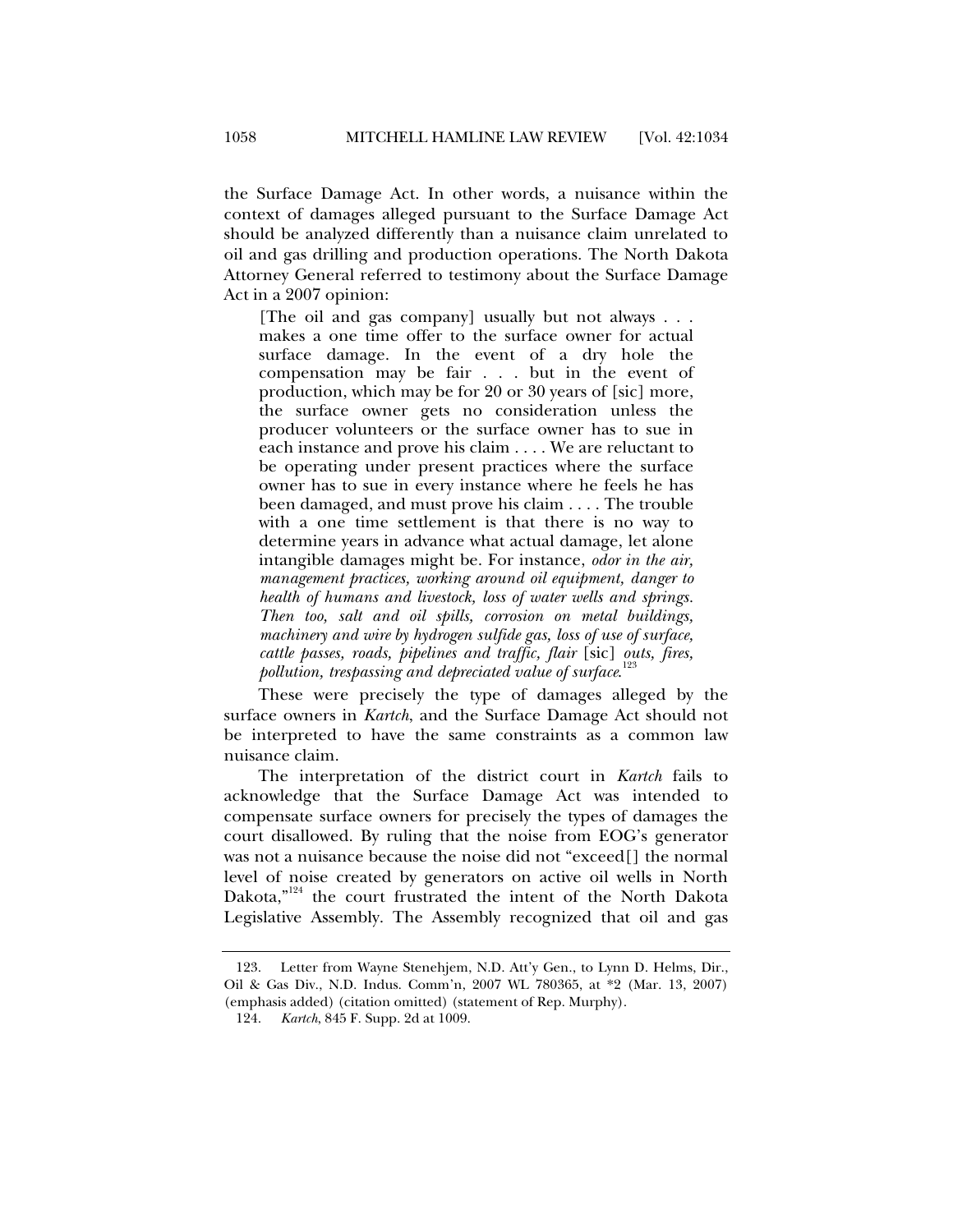the Surface Damage Act. In other words, a nuisance within the context of damages alleged pursuant to the Surface Damage Act should be analyzed differently than a nuisance claim unrelated to oil and gas drilling and production operations. The North Dakota Attorney General referred to testimony about the Surface Damage Act in a 2007 opinion:

[The oil and gas company] usually but not always . . . makes a one time offer to the surface owner for actual surface damage. In the event of a dry hole the compensation may be fair . . . but in the event of production, which may be for 20 or 30 years of [sic] more, the surface owner gets no consideration unless the producer volunteers or the surface owner has to sue in each instance and prove his claim . . . . We are reluctant to be operating under present practices where the surface owner has to sue in every instance where he feels he has been damaged, and must prove his claim . . . . The trouble with a one time settlement is that there is no way to determine years in advance what actual damage, let alone intangible damages might be. For instance, *odor in the air, management practices, working around oil equipment, danger to health of humans and livestock, loss of water wells and springs. Then too, salt and oil spills, corrosion on metal buildings, machinery and wire by hydrogen sulfide gas, loss of use of surface, cattle passes, roads, pipelines and traffic, flair* [sic] *outs, fires, pollution, trespassing and depreciated value of surface*. 123

These were precisely the type of damages alleged by the surface owners in *Kartch*, and the Surface Damage Act should not be interpreted to have the same constraints as a common law nuisance claim.

The interpretation of the district court in *Kartch* fails to acknowledge that the Surface Damage Act was intended to compensate surface owners for precisely the types of damages the court disallowed. By ruling that the noise from EOG's generator was not a nuisance because the noise did not "exceed[] the normal level of noise created by generators on active oil wells in North Dakota,"<sup>124</sup> the court frustrated the intent of the North Dakota Legislative Assembly. The Assembly recognized that oil and gas

 <sup>123.</sup> Letter from Wayne Stenehjem, N.D. Att'y Gen., to Lynn D. Helms, Dir., Oil & Gas Div., N.D. Indus. Comm'n, 2007 WL 780365, at \*2 (Mar. 13, 2007) (emphasis added) (citation omitted) (statement of Rep. Murphy).

 <sup>124.</sup> *Kartch*, 845 F. Supp. 2d at 1009.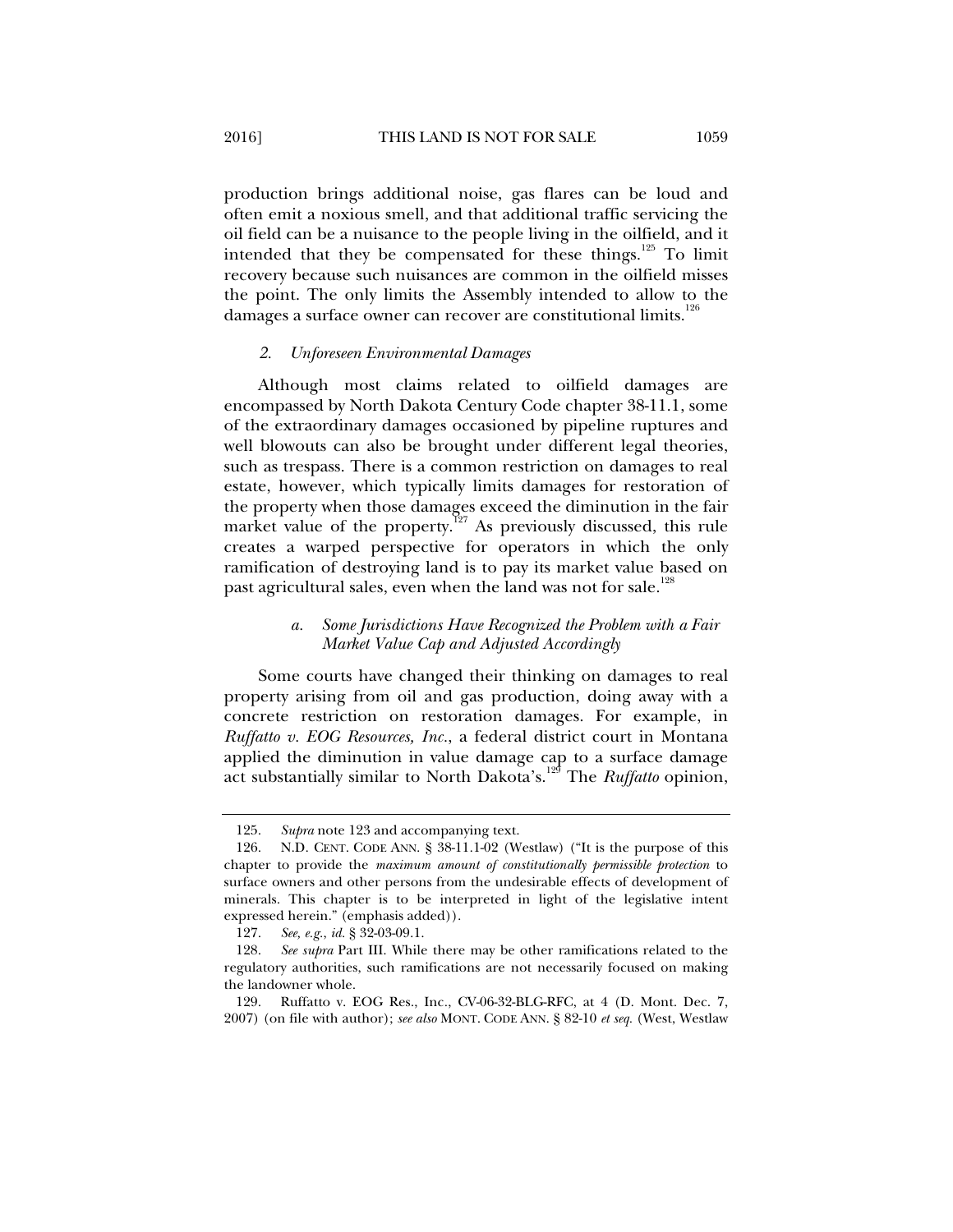production brings additional noise, gas flares can be loud and often emit a noxious smell, and that additional traffic servicing the oil field can be a nuisance to the people living in the oilfield, and it intended that they be compensated for these things.<sup>125</sup> To limit recovery because such nuisances are common in the oilfield misses the point. The only limits the Assembly intended to allow to the damages a surface owner can recover are constitutional limits.<sup>126</sup>

#### *2. Unforeseen Environmental Damages*

Although most claims related to oilfield damages are encompassed by North Dakota Century Code chapter 38-11.1, some of the extraordinary damages occasioned by pipeline ruptures and well blowouts can also be brought under different legal theories, such as trespass. There is a common restriction on damages to real estate, however, which typically limits damages for restoration of the property when those damages exceed the diminution in the fair market value of the property.<sup>127</sup> As previously discussed, this rule creates a warped perspective for operators in which the only ramification of destroying land is to pay its market value based on past agricultural sales, even when the land was not for sale.<sup>126</sup>

# *a. Some Jurisdictions Have Recognized the Problem with a Fair Market Value Cap and Adjusted Accordingly*

Some courts have changed their thinking on damages to real property arising from oil and gas production, doing away with a concrete restriction on restoration damages. For example, in *Ruffatto v. EOG Resources, Inc.*, a federal district court in Montana applied the diminution in value damage cap to a surface damage act substantially similar to North Dakota's.<sup>129</sup> The *Ruffatto* opinion,

 <sup>125.</sup> *Supra* note 123 and accompanying text.

 <sup>126.</sup> N.D. CENT. CODE ANN. § 38-11.1-02 (Westlaw) ("It is the purpose of this chapter to provide the *maximum amount of constitutionally permissible protection* to surface owners and other persons from the undesirable effects of development of minerals. This chapter is to be interpreted in light of the legislative intent expressed herein." (emphasis added)).

 <sup>127.</sup> *See, e.g.*, *id.* § 32-03-09.1.

 <sup>128.</sup> *See supra* Part III. While there may be other ramifications related to the regulatory authorities, such ramifications are not necessarily focused on making the landowner whole.

 <sup>129.</sup> Ruffatto v. EOG Res., Inc*.*, CV-06-32-BLG-RFC, at 4 (D. Mont. Dec. 7, 2007) (on file with author); *see also* MONT. CODE ANN. § 82-10 *et seq.* (West, Westlaw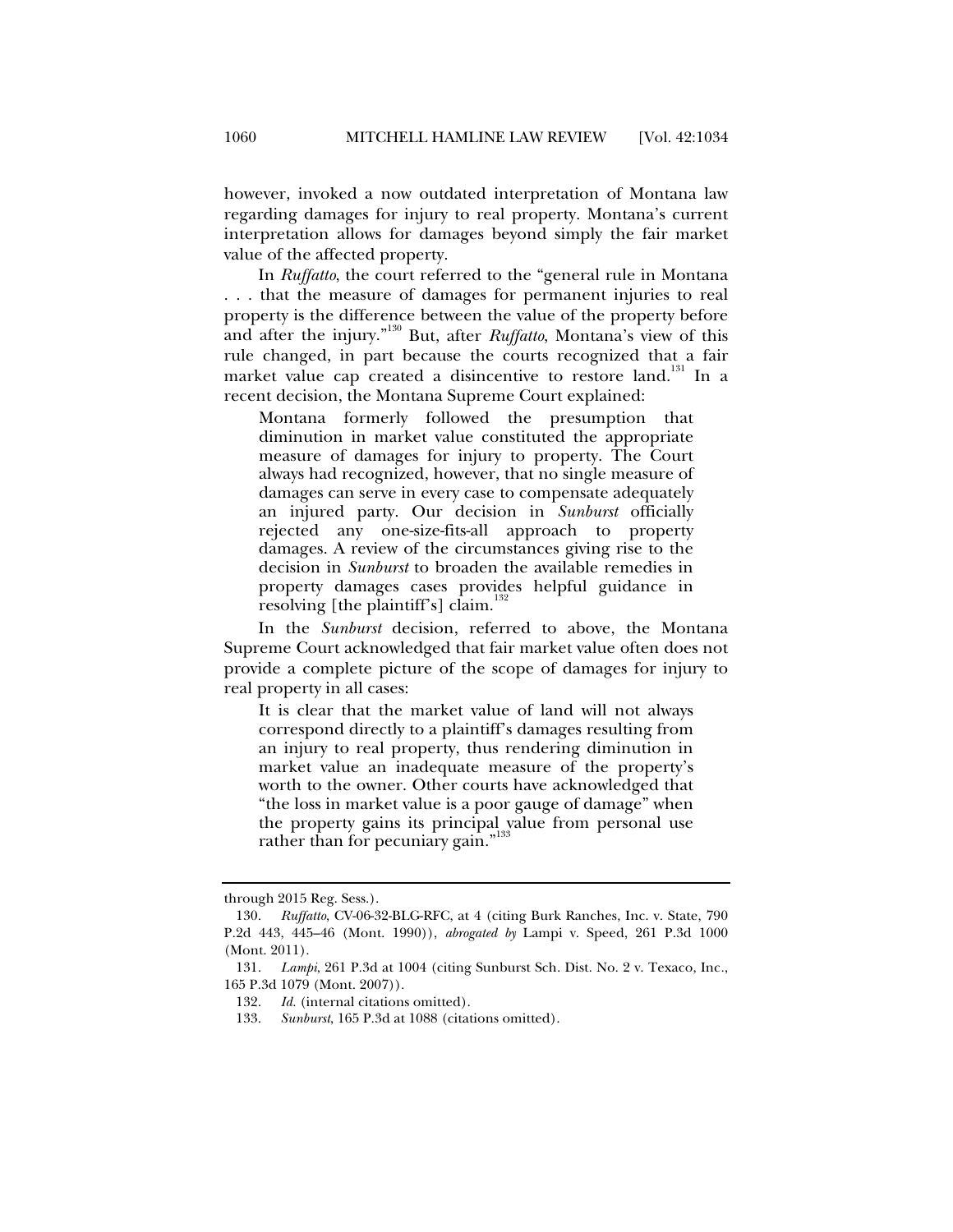however, invoked a now outdated interpretation of Montana law regarding damages for injury to real property. Montana's current interpretation allows for damages beyond simply the fair market value of the affected property.

In *Ruffatto*, the court referred to the "general rule in Montana . . . that the measure of damages for permanent injuries to real property is the difference between the value of the property before and after the injury."130 But, after *Ruffatto*, Montana's view of this rule changed, in part because the courts recognized that a fair market value cap created a disincentive to restore land.<sup>131</sup> In a recent decision, the Montana Supreme Court explained:

Montana formerly followed the presumption that diminution in market value constituted the appropriate measure of damages for injury to property. The Court always had recognized, however, that no single measure of damages can serve in every case to compensate adequately an injured party. Our decision in *Sunburst* officially rejected any one-size-fits-all approach to property damages. A review of the circumstances giving rise to the decision in *Sunburst* to broaden the available remedies in property damages cases provides helpful guidance in resolving [the plaintiff's] claim.<sup>13</sup>

In the *Sunburst* decision, referred to above, the Montana Supreme Court acknowledged that fair market value often does not provide a complete picture of the scope of damages for injury to real property in all cases:

It is clear that the market value of land will not always correspond directly to a plaintiff's damages resulting from an injury to real property, thus rendering diminution in market value an inadequate measure of the property's worth to the owner. Other courts have acknowledged that "the loss in market value is a poor gauge of damage" when the property gains its principal value from personal use rather than for pecuniary gain."<sup>133</sup>

through 2015 Reg. Sess.).

 <sup>130.</sup> *Ruffatto*, CV-06-32-BLG-RFC, at 4 (citing Burk Ranches, Inc. v. State, 790 P.2d 443, 445–46 (Mont. 1990)), *abrogated by* Lampi v. Speed, 261 P.3d 1000 (Mont. 2011).

 <sup>131.</sup> *Lampi*, 261 P.3d at 1004 (citing Sunburst Sch. Dist. No. 2 v. Texaco, Inc*.*, 165 P.3d 1079 (Mont. 2007)).

 <sup>132.</sup> *Id.* (internal citations omitted).

 <sup>133.</sup> *Sunburst*, 165 P.3d at 1088 (citations omitted).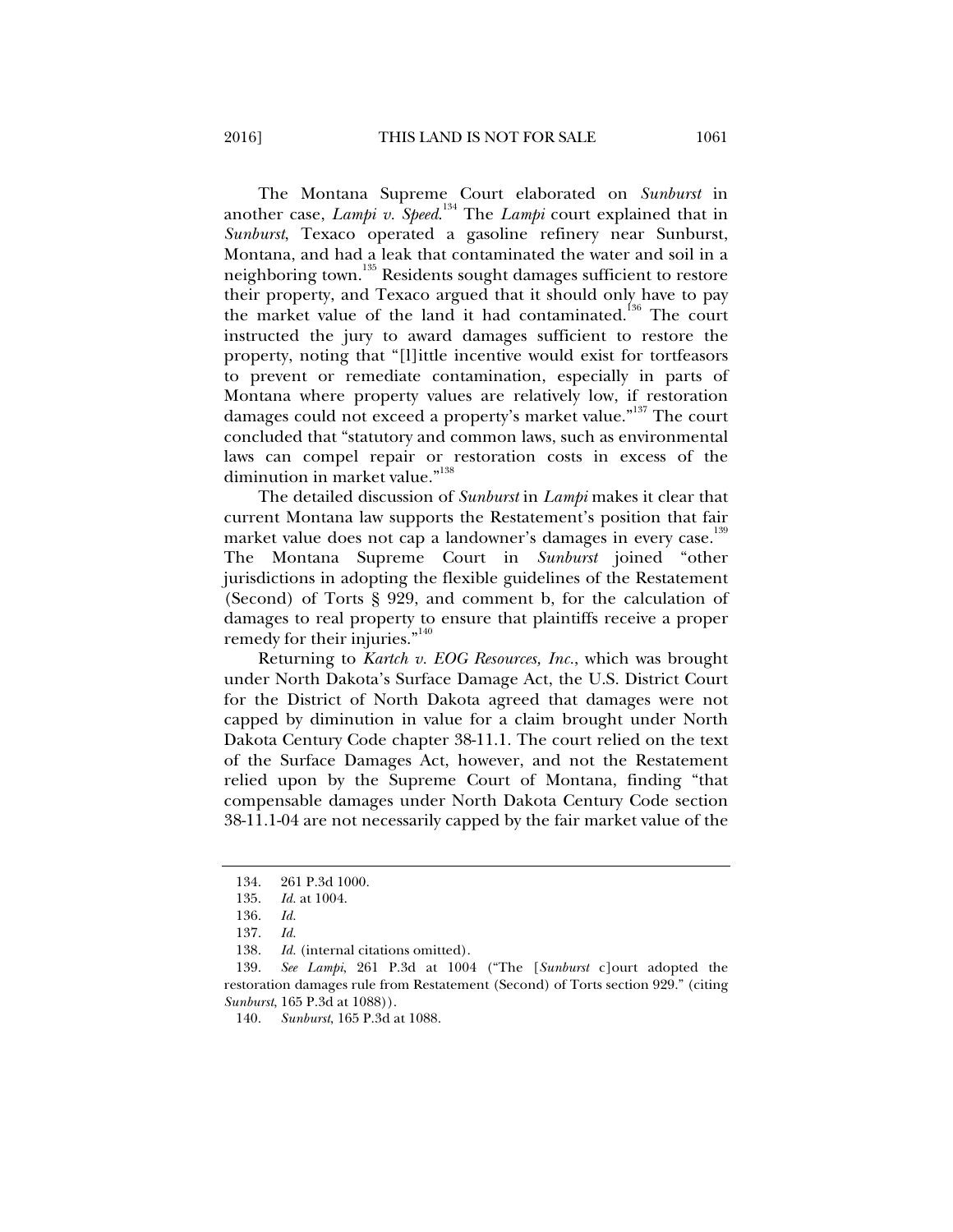The Montana Supreme Court elaborated on *Sunburst* in another case, *Lampi v. Speed*. 134 The *Lampi* court explained that in *Sunburst*, Texaco operated a gasoline refinery near Sunburst, Montana, and had a leak that contaminated the water and soil in a neighboring town.<sup>135</sup> Residents sought damages sufficient to restore their property, and Texaco argued that it should only have to pay the market value of the land it had contaminated.<sup>136</sup> The court instructed the jury to award damages sufficient to restore the property, noting that "[l]ittle incentive would exist for tortfeasors to prevent or remediate contamination, especially in parts of Montana where property values are relatively low, if restoration damages could not exceed a property's market value."<sup>137</sup> The court concluded that "statutory and common laws, such as environmental laws can compel repair or restoration costs in excess of the diminution in market value."<sup>138</sup>

The detailed discussion of *Sunburst* in *Lampi* makes it clear that current Montana law supports the Restatement's position that fair market value does not cap a landowner's damages in every case.<sup>139</sup> The Montana Supreme Court in *Sunburst* joined "other jurisdictions in adopting the flexible guidelines of the Restatement (Second) of Torts § 929, and comment b, for the calculation of damages to real property to ensure that plaintiffs receive a proper remedy for their injuries."<sup>140</sup>

Returning to *Kartch v. EOG Resources, Inc.*, which was brought under North Dakota's Surface Damage Act, the U.S. District Court for the District of North Dakota agreed that damages were not capped by diminution in value for a claim brought under North Dakota Century Code chapter 38-11.1. The court relied on the text of the Surface Damages Act, however, and not the Restatement relied upon by the Supreme Court of Montana, finding "that compensable damages under North Dakota Century Code section 38-11.1-04 are not necessarily capped by the fair market value of the

 <sup>134. 261</sup> P.3d 1000.

 <sup>135.</sup> *Id.* at 1004.

 <sup>136.</sup> *Id.* 

 <sup>137.</sup> *Id.*  Id. (internal citations omitted).

 <sup>139.</sup> *See Lampi*, 261 P.3d at 1004 ("The [*Sunburst* c]ourt adopted the restoration damages rule from Restatement (Second) of Torts section 929." (citing *Sunburst*, 165 P.3d at 1088)).

 <sup>140.</sup> *Sunburst*, 165 P.3d at 1088.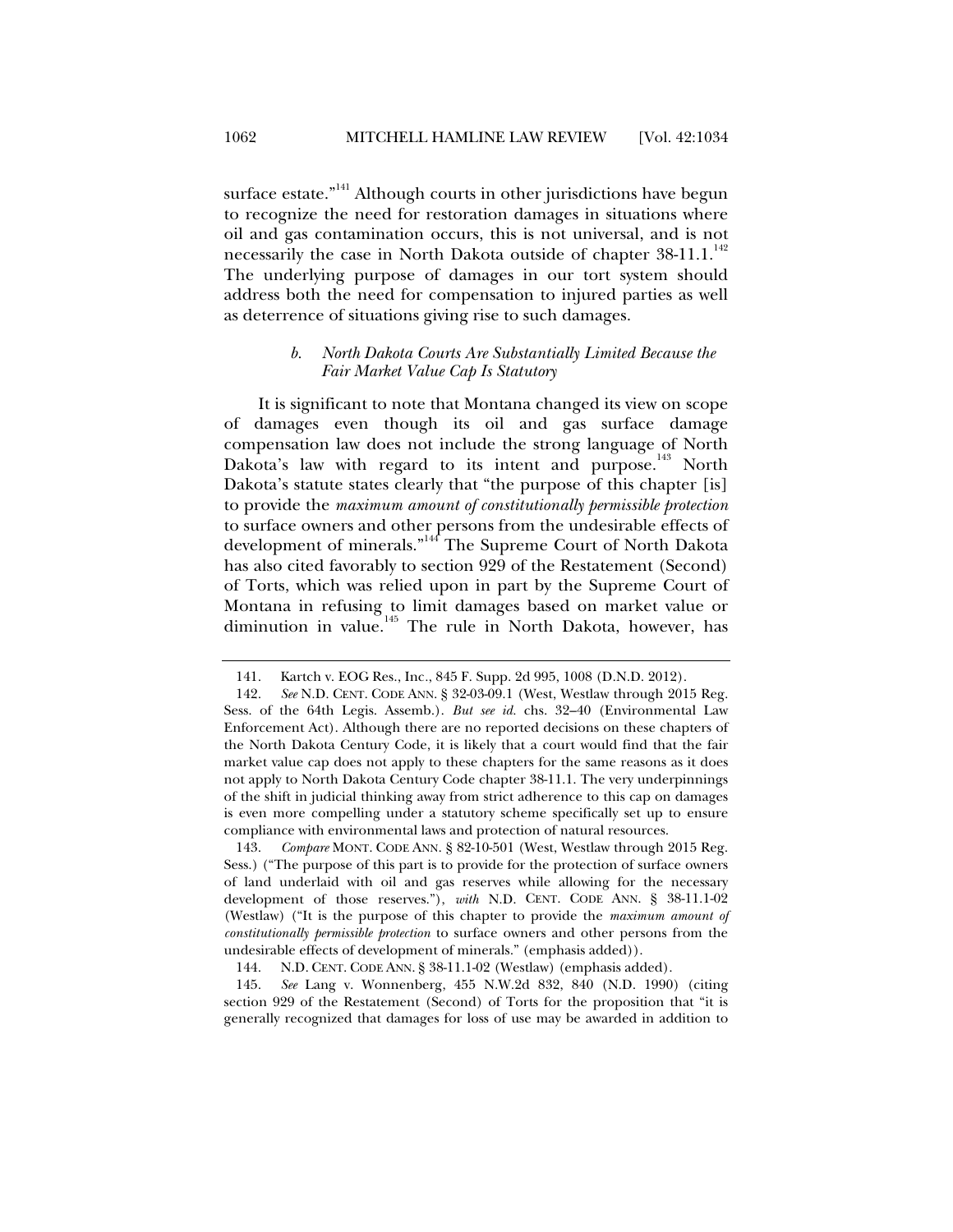surface estate."<sup>141</sup> Although courts in other jurisdictions have begun to recognize the need for restoration damages in situations where oil and gas contamination occurs, this is not universal, and is not necessarily the case in North Dakota outside of chapter 38-11.1.<sup>142</sup> The underlying purpose of damages in our tort system should address both the need for compensation to injured parties as well as deterrence of situations giving rise to such damages.

#### *b. North Dakota Courts Are Substantially Limited Because the Fair Market Value Cap Is Statutory*

It is significant to note that Montana changed its view on scope of damages even though its oil and gas surface damage compensation law does not include the strong language of North Dakota's law with regard to its intent and purpose.<sup>143</sup> North Dakota's statute states clearly that "the purpose of this chapter [is] to provide the *maximum amount of constitutionally permissible protection* to surface owners and other persons from the undesirable effects of development of minerals."<sup>144</sup> The Supreme Court of North Dakota has also cited favorably to section 929 of the Restatement (Second) of Torts, which was relied upon in part by the Supreme Court of Montana in refusing to limit damages based on market value or diminution in value.<sup>145</sup> The rule in North Dakota, however, has

 143. *Compare* MONT. CODE ANN. § 82-10-501 (West, Westlaw through 2015 Reg. Sess.) ("The purpose of this part is to provide for the protection of surface owners of land underlaid with oil and gas reserves while allowing for the necessary development of those reserves."), *with* N.D. CENT. CODE ANN. § 38-11.1-02 (Westlaw) ("It is the purpose of this chapter to provide the *maximum amount of constitutionally permissible protection* to surface owners and other persons from the undesirable effects of development of minerals." (emphasis added)).

 145. *See* Lang v. Wonnenberg, 455 N.W.2d 832, 840 (N.D. 1990) (citing section 929 of the Restatement (Second) of Torts for the proposition that "it is generally recognized that damages for loss of use may be awarded in addition to

 <sup>141.</sup> Kartch v. EOG Res., Inc*.*, 845 F. Supp. 2d 995, 1008 (D.N.D. 2012).

 <sup>142.</sup> *See* N.D. CENT. CODE ANN. § 32-03-09.1 (West, Westlaw through 2015 Reg. Sess. of the 64th Legis. Assemb.). *But see id.* chs. 32–40 (Environmental Law Enforcement Act). Although there are no reported decisions on these chapters of the North Dakota Century Code, it is likely that a court would find that the fair market value cap does not apply to these chapters for the same reasons as it does not apply to North Dakota Century Code chapter 38-11.1. The very underpinnings of the shift in judicial thinking away from strict adherence to this cap on damages is even more compelling under a statutory scheme specifically set up to ensure compliance with environmental laws and protection of natural resources.

 <sup>144.</sup> N.D. CENT. CODE ANN. § 38-11.1-02 (Westlaw) (emphasis added).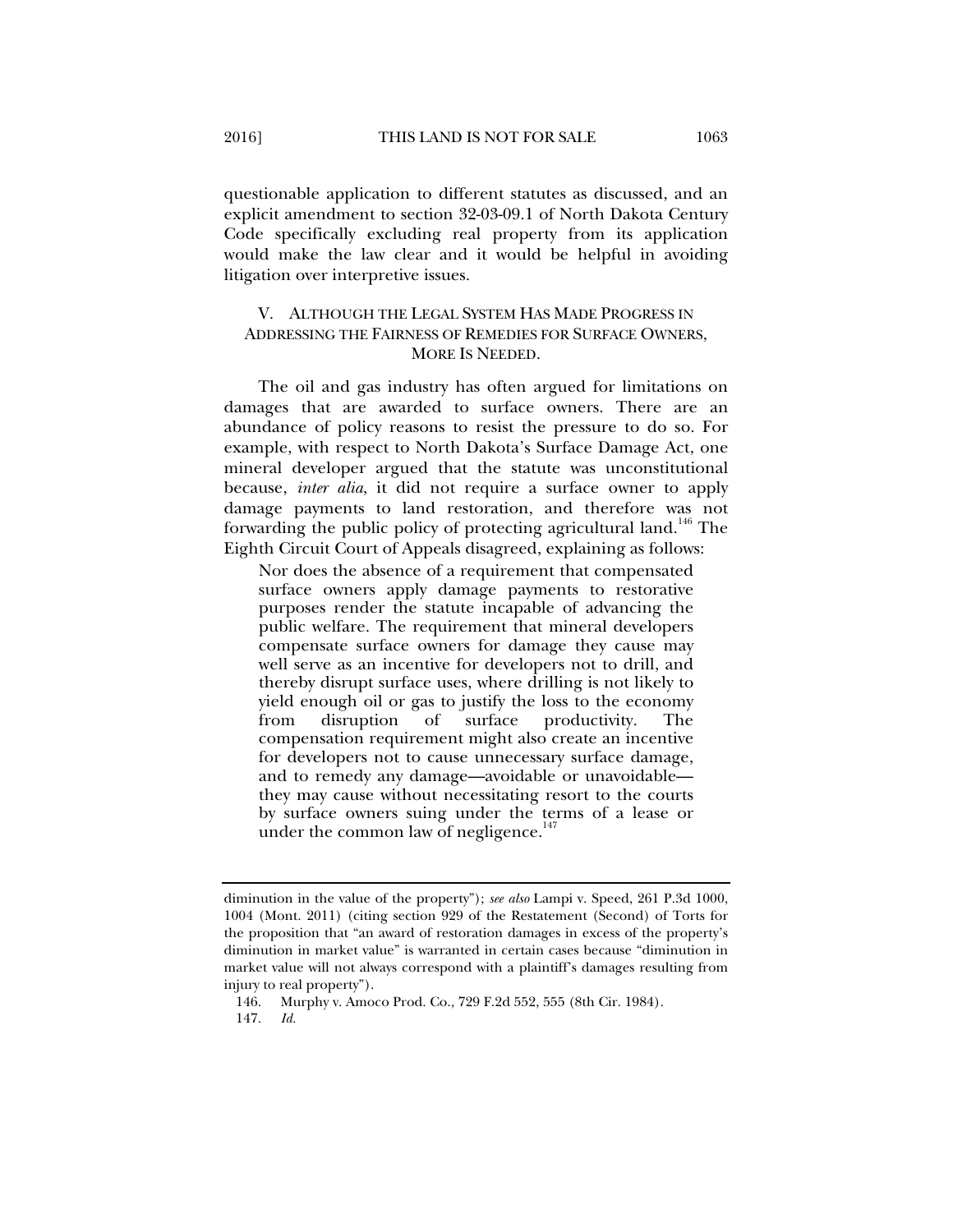questionable application to different statutes as discussed, and an explicit amendment to section 32-03-09.1 of North Dakota Century Code specifically excluding real property from its application would make the law clear and it would be helpful in avoiding litigation over interpretive issues.

# V. ALTHOUGH THE LEGAL SYSTEM HAS MADE PROGRESS IN ADDRESSING THE FAIRNESS OF REMEDIES FOR SURFACE OWNERS, MORE IS NEEDED.

The oil and gas industry has often argued for limitations on damages that are awarded to surface owners. There are an abundance of policy reasons to resist the pressure to do so. For example, with respect to North Dakota's Surface Damage Act, one mineral developer argued that the statute was unconstitutional because, *inter alia*, it did not require a surface owner to apply damage payments to land restoration, and therefore was not forwarding the public policy of protecting agricultural land.<sup>146</sup> The Eighth Circuit Court of Appeals disagreed, explaining as follows:

Nor does the absence of a requirement that compensated surface owners apply damage payments to restorative purposes render the statute incapable of advancing the public welfare. The requirement that mineral developers compensate surface owners for damage they cause may well serve as an incentive for developers not to drill, and thereby disrupt surface uses, where drilling is not likely to yield enough oil or gas to justify the loss to the economy from disruption of surface productivity. The compensation requirement might also create an incentive for developers not to cause unnecessary surface damage, and to remedy any damage—avoidable or unavoidable they may cause without necessitating resort to the courts by surface owners suing under the terms of a lease or under the common law of negligence.<sup>1</sup>

diminution in the value of the property"); *see also* Lampi v. Speed, 261 P.3d 1000, 1004 (Mont. 2011) (citing section 929 of the Restatement (Second) of Torts for the proposition that "an award of restoration damages in excess of the property's diminution in market value" is warranted in certain cases because "diminution in market value will not always correspond with a plaintiff's damages resulting from injury to real property").

 <sup>146.</sup> Murphy v. Amoco Prod. Co., 729 F.2d 552, 555 (8th Cir. 1984).

 <sup>147.</sup> *Id.*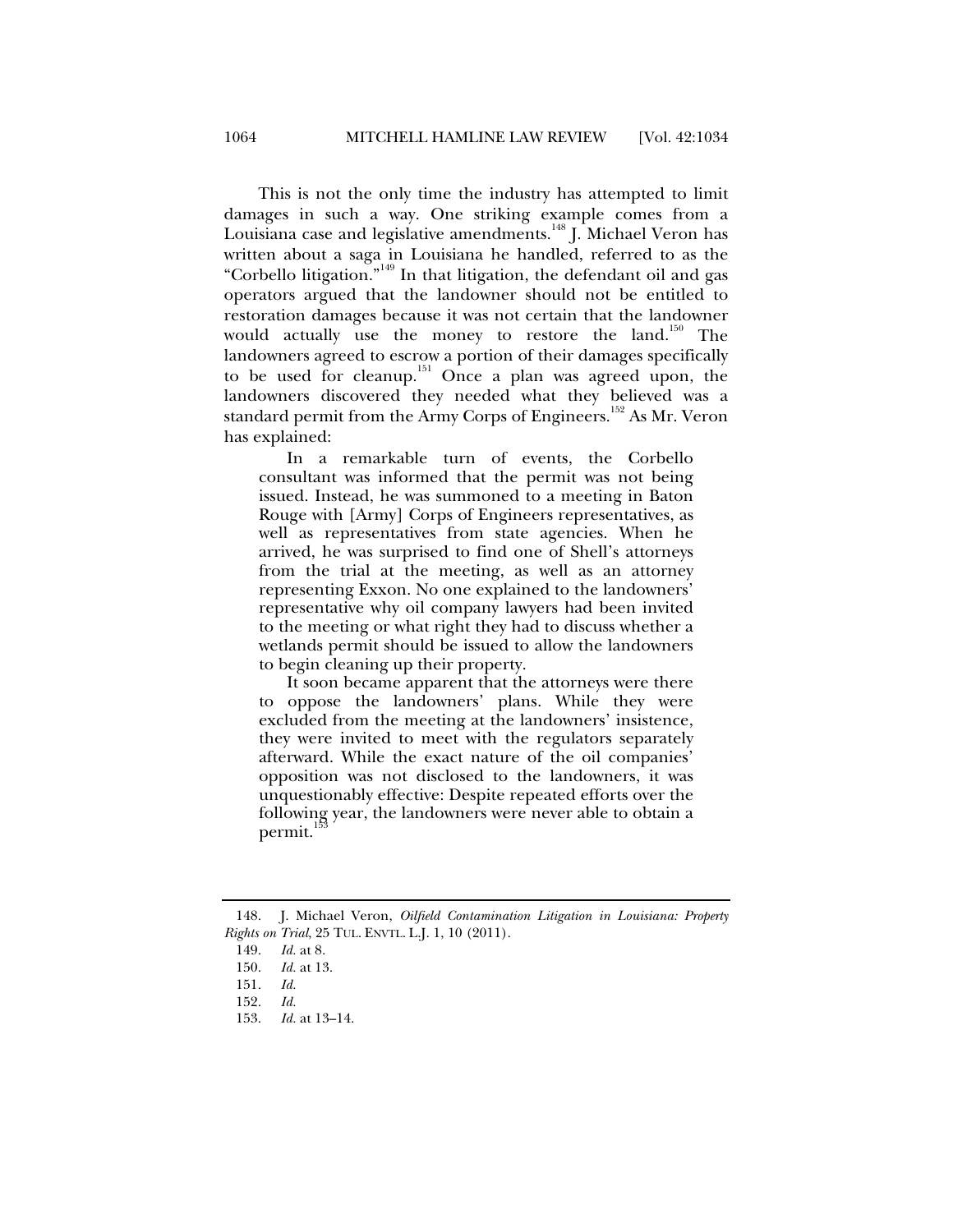This is not the only time the industry has attempted to limit damages in such a way. One striking example comes from a Louisiana case and legislative amendments.<sup>148</sup> J. Michael Veron has written about a saga in Louisiana he handled, referred to as the "Corbello litigation."149 In that litigation, the defendant oil and gas operators argued that the landowner should not be entitled to restoration damages because it was not certain that the landowner would actually use the money to restore the land.<sup>150</sup> The landowners agreed to escrow a portion of their damages specifically to be used for cleanup.<sup>151</sup> Once a plan was agreed upon, the landowners discovered they needed what they believed was a standard permit from the Army Corps of Engineers.<sup>152</sup> As Mr. Veron has explained:

In a remarkable turn of events, the Corbello consultant was informed that the permit was not being issued. Instead, he was summoned to a meeting in Baton Rouge with [Army] Corps of Engineers representatives, as well as representatives from state agencies. When he arrived, he was surprised to find one of Shell's attorneys from the trial at the meeting, as well as an attorney representing Exxon. No one explained to the landowners' representative why oil company lawyers had been invited to the meeting or what right they had to discuss whether a wetlands permit should be issued to allow the landowners to begin cleaning up their property.

It soon became apparent that the attorneys were there to oppose the landowners' plans. While they were excluded from the meeting at the landowners' insistence, they were invited to meet with the regulators separately afterward. While the exact nature of the oil companies' opposition was not disclosed to the landowners, it was unquestionably effective: Despite repeated efforts over the following year, the landowners were never able to obtain a permit.

 <sup>148.</sup> J. Michael Veron, *Oilfield Contamination Litigation in Louisiana: Property Rights on Trial*, 25 TUL. ENVTL. L.J. 1, 10 (2011).

 <sup>149.</sup> *Id.* at 8.

 <sup>150.</sup> *Id.* at 13.

 <sup>151.</sup> *Id.*

 <sup>152.</sup> *Id.*

 <sup>153.</sup> *Id.* at 13–14.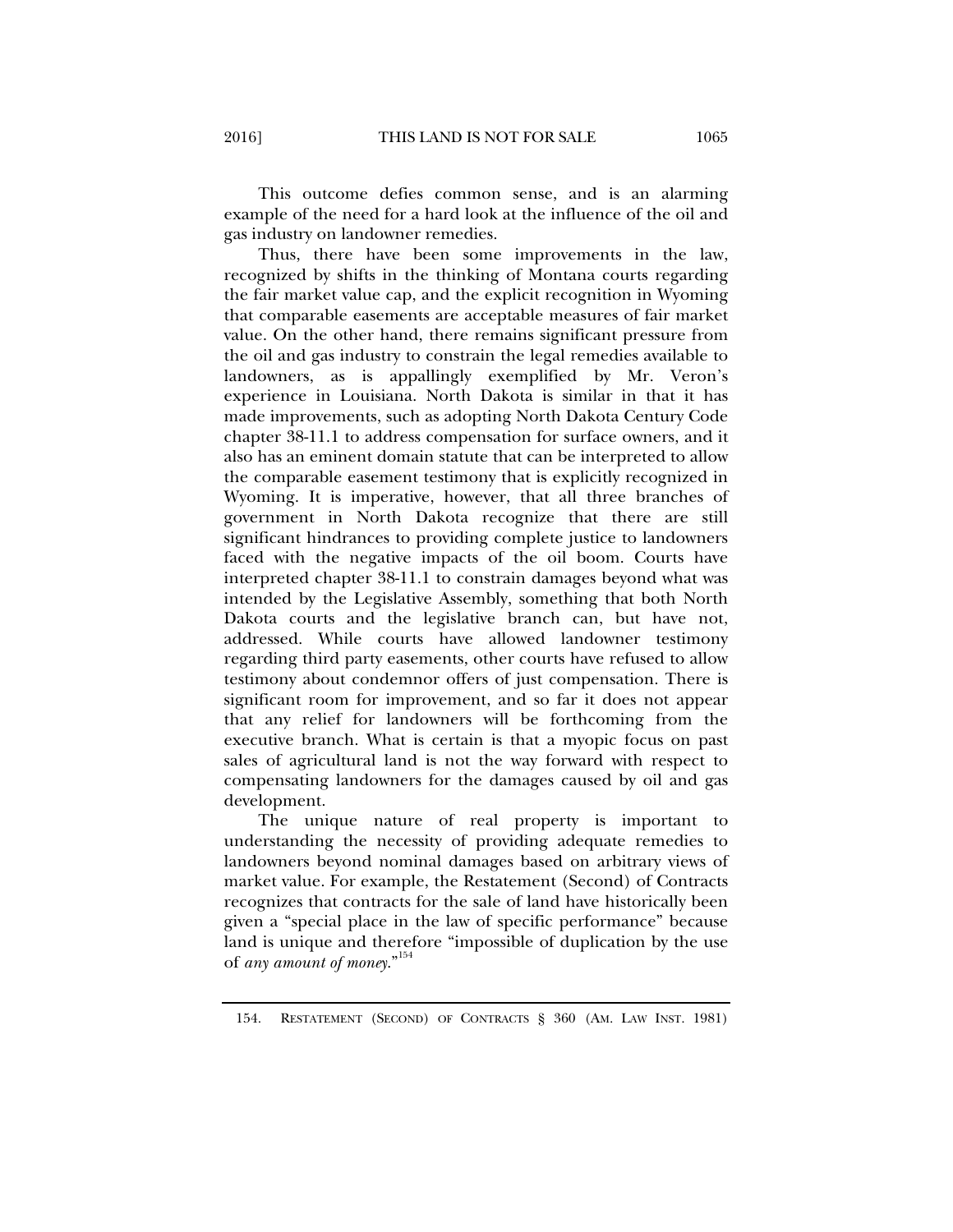This outcome defies common sense, and is an alarming example of the need for a hard look at the influence of the oil and gas industry on landowner remedies.

Thus, there have been some improvements in the law, recognized by shifts in the thinking of Montana courts regarding the fair market value cap, and the explicit recognition in Wyoming that comparable easements are acceptable measures of fair market value. On the other hand, there remains significant pressure from the oil and gas industry to constrain the legal remedies available to landowners, as is appallingly exemplified by Mr. Veron's experience in Louisiana. North Dakota is similar in that it has made improvements, such as adopting North Dakota Century Code chapter 38-11.1 to address compensation for surface owners, and it also has an eminent domain statute that can be interpreted to allow the comparable easement testimony that is explicitly recognized in Wyoming. It is imperative, however, that all three branches of government in North Dakota recognize that there are still significant hindrances to providing complete justice to landowners faced with the negative impacts of the oil boom. Courts have interpreted chapter 38-11.1 to constrain damages beyond what was intended by the Legislative Assembly, something that both North Dakota courts and the legislative branch can, but have not, addressed. While courts have allowed landowner testimony regarding third party easements, other courts have refused to allow testimony about condemnor offers of just compensation. There is significant room for improvement, and so far it does not appear that any relief for landowners will be forthcoming from the executive branch. What is certain is that a myopic focus on past sales of agricultural land is not the way forward with respect to compensating landowners for the damages caused by oil and gas development.

The unique nature of real property is important to understanding the necessity of providing adequate remedies to landowners beyond nominal damages based on arbitrary views of market value. For example, the Restatement (Second) of Contracts recognizes that contracts for the sale of land have historically been given a "special place in the law of specific performance" because land is unique and therefore "impossible of duplication by the use of *any amount of money*."154

 <sup>154.</sup> RESTATEMENT (SECOND) OF CONTRACTS § 360 (AM. LAW INST. 1981)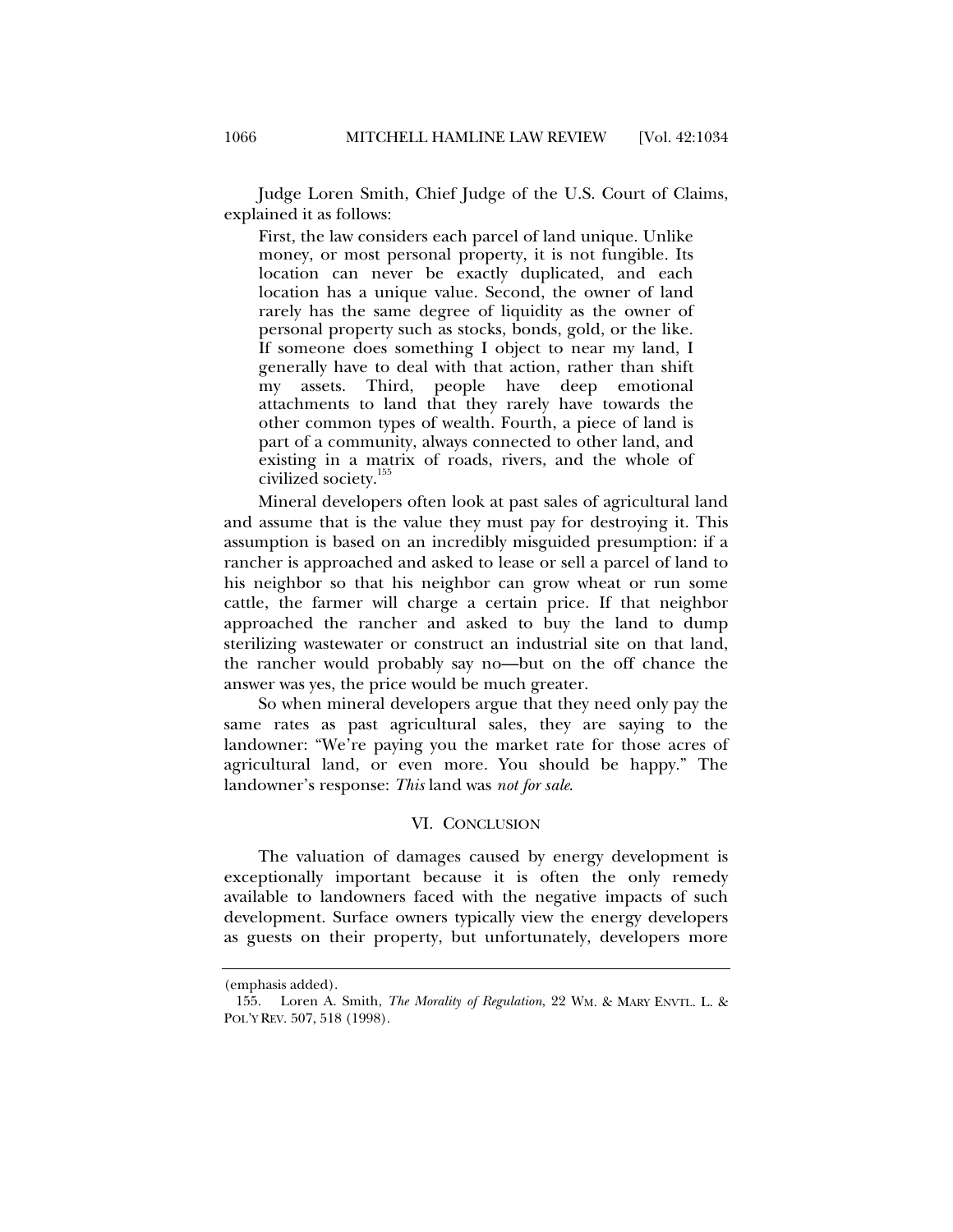Judge Loren Smith, Chief Judge of the U.S. Court of Claims, explained it as follows:

First, the law considers each parcel of land unique. Unlike money, or most personal property, it is not fungible. Its location can never be exactly duplicated, and each location has a unique value. Second, the owner of land rarely has the same degree of liquidity as the owner of personal property such as stocks, bonds, gold, or the like. If someone does something I object to near my land, I generally have to deal with that action, rather than shift my assets. Third, people have deep emotional attachments to land that they rarely have towards the other common types of wealth. Fourth, a piece of land is part of a community, always connected to other land, and existing in a matrix of roads, rivers, and the whole of civilized society.<sup>155</sup>

Mineral developers often look at past sales of agricultural land and assume that is the value they must pay for destroying it. This assumption is based on an incredibly misguided presumption: if a rancher is approached and asked to lease or sell a parcel of land to his neighbor so that his neighbor can grow wheat or run some cattle, the farmer will charge a certain price. If that neighbor approached the rancher and asked to buy the land to dump sterilizing wastewater or construct an industrial site on that land, the rancher would probably say no—but on the off chance the answer was yes, the price would be much greater.

So when mineral developers argue that they need only pay the same rates as past agricultural sales, they are saying to the landowner: "We're paying you the market rate for those acres of agricultural land, or even more. You should be happy." The landowner's response: *This* land was *not for sale*.

#### VI. CONCLUSION

The valuation of damages caused by energy development is exceptionally important because it is often the only remedy available to landowners faced with the negative impacts of such development. Surface owners typically view the energy developers as guests on their property, but unfortunately, developers more

<sup>(</sup>emphasis added).

 <sup>155.</sup> Loren A. Smith, *The Morality of Regulation*, 22 WM. & MARY ENVTL. L. & POL'Y REV. 507, 518 (1998).